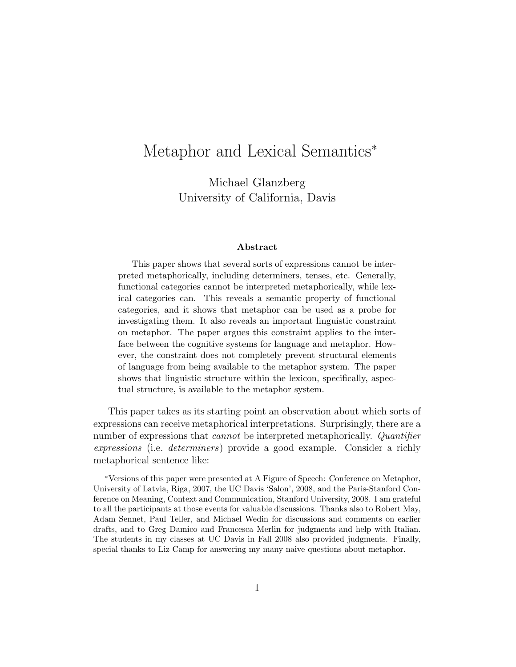# Metaphor and Lexical Semantics<sup>\*</sup>

Michael Glanzberg University of California, Davis

#### Abstract

This paper shows that several sorts of expressions cannot be interpreted metaphorically, including determiners, tenses, etc. Generally, functional categories cannot be interpreted metaphorically, while lexical categories can. This reveals a semantic property of functional categories, and it shows that metaphor can be used as a probe for investigating them. It also reveals an important linguistic constraint on metaphor. The paper argues this constraint applies to the interface between the cognitive systems for language and metaphor. However, the constraint does not completely prevent structural elements of language from being available to the metaphor system. The paper shows that linguistic structure within the lexicon, specifically, aspectual structure, is available to the metaphor system.

This paper takes as its starting point an observation about which sorts of expressions can receive metaphorical interpretations. Surprisingly, there are a number of expressions that *cannot* be interpreted metaphorically. *Quantifier* expressions (i.e. determiners) provide a good example. Consider a richly metaphorical sentence like:

<sup>∗</sup>Versions of this paper were presented at A Figure of Speech: Conference on Metaphor, University of Latvia, Riga, 2007, the UC Davis 'Salon', 2008, and the Paris-Stanford Conference on Meaning, Context and Communication, Stanford University, 2008. I am grateful to all the participants at those events for valuable discussions. Thanks also to Robert May, Adam Sennet, Paul Teller, and Michael Wedin for discussions and comments on earlier drafts, and to Greg Damico and Francesca Merlin for judgments and help with Italian. The students in my classes at UC Davis in Fall 2008 also provided judgments. Finally, special thanks to Liz Camp for answering my many naive questions about metaphor.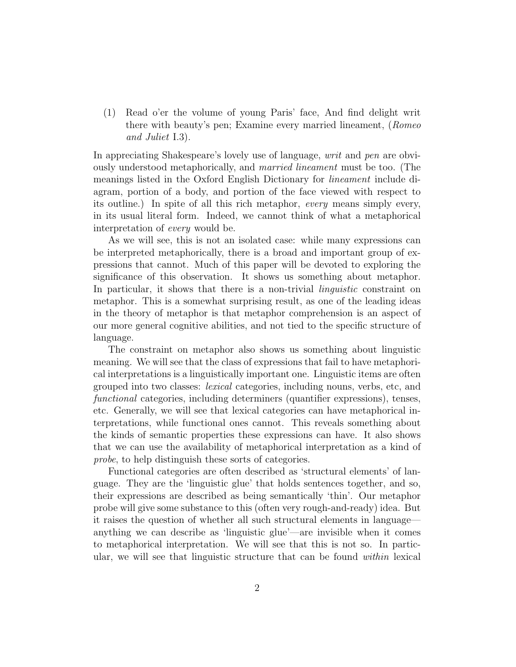(1) Read o'er the volume of young Paris' face, And find delight writ there with beauty's pen; Examine every married lineament, (Romeo and Juliet I.3).

In appreciating Shakespeare's lovely use of language, writ and pen are obviously understood metaphorically, and married lineament must be too. (The meanings listed in the Oxford English Dictionary for lineament include diagram, portion of a body, and portion of the face viewed with respect to its outline.) In spite of all this rich metaphor, every means simply every, in its usual literal form. Indeed, we cannot think of what a metaphorical interpretation of every would be.

As we will see, this is not an isolated case: while many expressions can be interpreted metaphorically, there is a broad and important group of expressions that cannot. Much of this paper will be devoted to exploring the significance of this observation. It shows us something about metaphor. In particular, it shows that there is a non-trivial *linguistic* constraint on metaphor. This is a somewhat surprising result, as one of the leading ideas in the theory of metaphor is that metaphor comprehension is an aspect of our more general cognitive abilities, and not tied to the specific structure of language.

The constraint on metaphor also shows us something about linguistic meaning. We will see that the class of expressions that fail to have metaphorical interpretations is a linguistically important one. Linguistic items are often grouped into two classes: lexical categories, including nouns, verbs, etc, and functional categories, including determiners (quantifier expressions), tenses, etc. Generally, we will see that lexical categories can have metaphorical interpretations, while functional ones cannot. This reveals something about the kinds of semantic properties these expressions can have. It also shows that we can use the availability of metaphorical interpretation as a kind of probe, to help distinguish these sorts of categories.

Functional categories are often described as 'structural elements' of language. They are the 'linguistic glue' that holds sentences together, and so, their expressions are described as being semantically 'thin'. Our metaphor probe will give some substance to this (often very rough-and-ready) idea. But it raises the question of whether all such structural elements in language anything we can describe as 'linguistic glue'—are invisible when it comes to metaphorical interpretation. We will see that this is not so. In particular, we will see that linguistic structure that can be found within lexical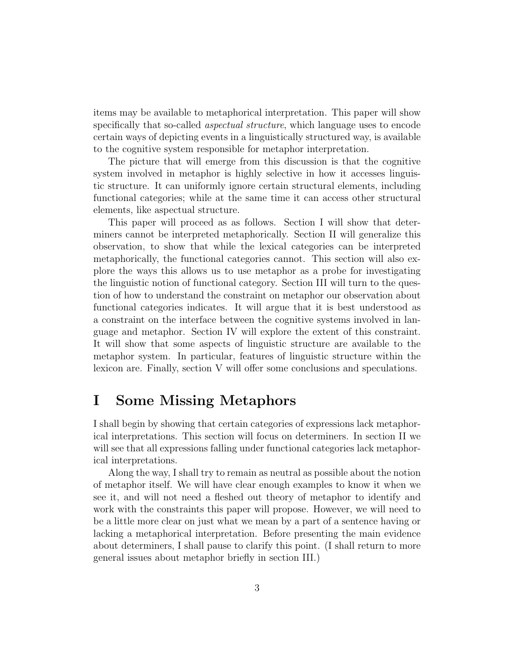items may be available to metaphorical interpretation. This paper will show specifically that so-called *aspectual structure*, which language uses to encode certain ways of depicting events in a linguistically structured way, is available to the cognitive system responsible for metaphor interpretation.

The picture that will emerge from this discussion is that the cognitive system involved in metaphor is highly selective in how it accesses linguistic structure. It can uniformly ignore certain structural elements, including functional categories; while at the same time it can access other structural elements, like aspectual structure.

This paper will proceed as as follows. Section I will show that determiners cannot be interpreted metaphorically. Section II will generalize this observation, to show that while the lexical categories can be interpreted metaphorically, the functional categories cannot. This section will also explore the ways this allows us to use metaphor as a probe for investigating the linguistic notion of functional category. Section III will turn to the question of how to understand the constraint on metaphor our observation about functional categories indicates. It will argue that it is best understood as a constraint on the interface between the cognitive systems involved in language and metaphor. Section IV will explore the extent of this constraint. It will show that some aspects of linguistic structure are available to the metaphor system. In particular, features of linguistic structure within the lexicon are. Finally, section V will offer some conclusions and speculations.

## I Some Missing Metaphors

I shall begin by showing that certain categories of expressions lack metaphorical interpretations. This section will focus on determiners. In section II we will see that all expressions falling under functional categories lack metaphorical interpretations.

Along the way, I shall try to remain as neutral as possible about the notion of metaphor itself. We will have clear enough examples to know it when we see it, and will not need a fleshed out theory of metaphor to identify and work with the constraints this paper will propose. However, we will need to be a little more clear on just what we mean by a part of a sentence having or lacking a metaphorical interpretation. Before presenting the main evidence about determiners, I shall pause to clarify this point. (I shall return to more general issues about metaphor briefly in section III.)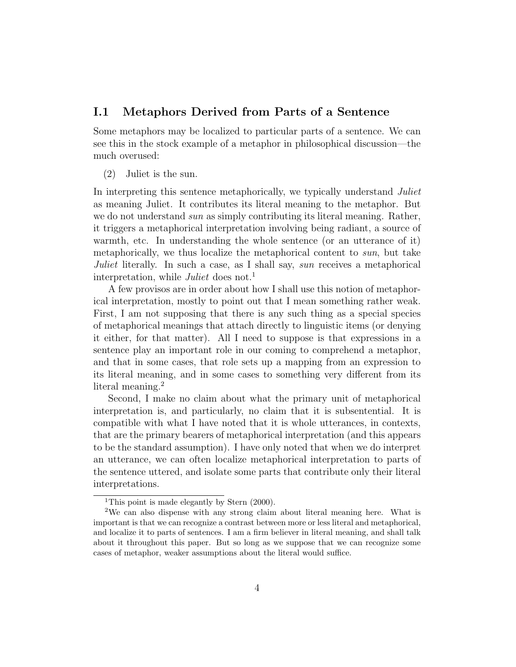#### I.1 Metaphors Derived from Parts of a Sentence

Some metaphors may be localized to particular parts of a sentence. We can see this in the stock example of a metaphor in philosophical discussion—the much overused:

(2) Juliet is the sun.

In interpreting this sentence metaphorically, we typically understand *Juliet* as meaning Juliet. It contributes its literal meaning to the metaphor. But we do not understand *sun* as simply contributing its literal meaning. Rather, it triggers a metaphorical interpretation involving being radiant, a source of warmth, etc. In understanding the whole sentence (or an utterance of it) metaphorically, we thus localize the metaphorical content to sun, but take Juliet literally. In such a case, as I shall say, sun receives a metaphorical interpretation, while Juliet does not.<sup>1</sup>

A few provisos are in order about how I shall use this notion of metaphorical interpretation, mostly to point out that I mean something rather weak. First, I am not supposing that there is any such thing as a special species of metaphorical meanings that attach directly to linguistic items (or denying it either, for that matter). All I need to suppose is that expressions in a sentence play an important role in our coming to comprehend a metaphor, and that in some cases, that role sets up a mapping from an expression to its literal meaning, and in some cases to something very different from its literal meaning.<sup>2</sup>

Second, I make no claim about what the primary unit of metaphorical interpretation is, and particularly, no claim that it is subsentential. It is compatible with what I have noted that it is whole utterances, in contexts, that are the primary bearers of metaphorical interpretation (and this appears to be the standard assumption). I have only noted that when we do interpret an utterance, we can often localize metaphorical interpretation to parts of the sentence uttered, and isolate some parts that contribute only their literal interpretations.

<sup>&</sup>lt;sup>1</sup>This point is made elegantly by Stern (2000).

<sup>2</sup>We can also dispense with any strong claim about literal meaning here. What is important is that we can recognize a contrast between more or less literal and metaphorical, and localize it to parts of sentences. I am a firm believer in literal meaning, and shall talk about it throughout this paper. But so long as we suppose that we can recognize some cases of metaphor, weaker assumptions about the literal would suffice.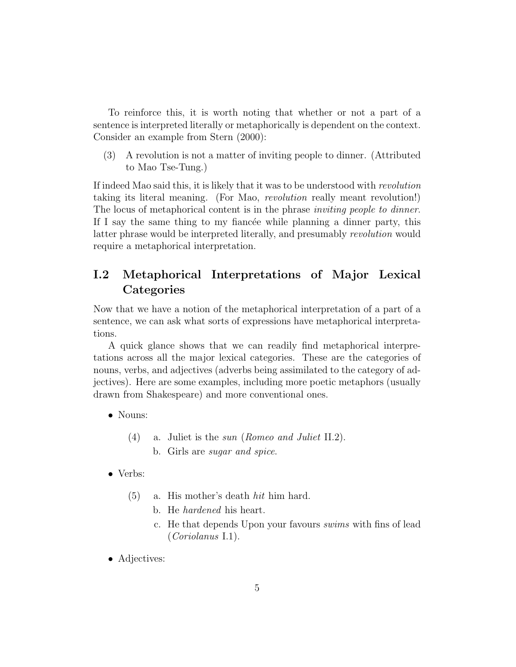To reinforce this, it is worth noting that whether or not a part of a sentence is interpreted literally or metaphorically is dependent on the context. Consider an example from Stern (2000):

(3) A revolution is not a matter of inviting people to dinner. (Attributed to Mao Tse-Tung.)

If indeed Mao said this, it is likely that it was to be understood with revolution taking its literal meaning. (For Mao, revolution really meant revolution!) The locus of metaphorical content is in the phrase *inviting people to dinner*. If I say the same thing to my fiancée while planning a dinner party, this latter phrase would be interpreted literally, and presumably revolution would require a metaphorical interpretation.

### I.2 Metaphorical Interpretations of Major Lexical **Categories**

Now that we have a notion of the metaphorical interpretation of a part of a sentence, we can ask what sorts of expressions have metaphorical interpretations.

A quick glance shows that we can readily find metaphorical interpretations across all the major lexical categories. These are the categories of nouns, verbs, and adjectives (adverbs being assimilated to the category of adjectives). Here are some examples, including more poetic metaphors (usually drawn from Shakespeare) and more conventional ones.

- Nouns:
	- (4) a. Juliet is the sun (Romeo and Juliet II.2).
		- b. Girls are sugar and spice.
- Verbs:
	- (5) a. His mother's death hit him hard.
		- b. He hardened his heart.
		- c. He that depends Upon your favours swims with fins of lead (Coriolanus I.1).
- Adjectives: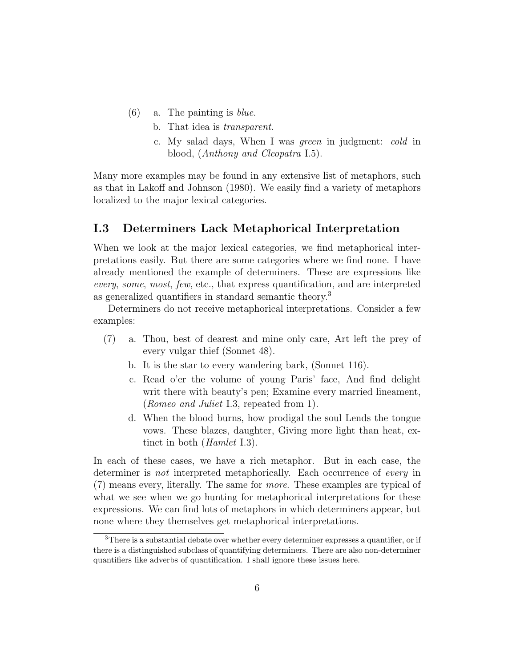- $(6)$  a. The painting is *blue*.
	- b. That idea is transparent.
	- c. My salad days, When I was green in judgment: cold in blood, (Anthony and Cleopatra I.5).

Many more examples may be found in any extensive list of metaphors, such as that in Lakoff and Johnson (1980). We easily find a variety of metaphors localized to the major lexical categories.

### I.3 Determiners Lack Metaphorical Interpretation

When we look at the major lexical categories, we find metaphorical interpretations easily. But there are some categories where we find none. I have already mentioned the example of determiners. These are expressions like every, some, most, few, etc., that express quantification, and are interpreted as generalized quantifiers in standard semantic theory.<sup>3</sup>

Determiners do not receive metaphorical interpretations. Consider a few examples:

- (7) a. Thou, best of dearest and mine only care, Art left the prey of every vulgar thief (Sonnet 48).
	- b. It is the star to every wandering bark, (Sonnet 116).
	- c. Read o'er the volume of young Paris' face, And find delight writ there with beauty's pen; Examine every married lineament, (Romeo and Juliet I.3, repeated from 1).
	- d. When the blood burns, how prodigal the soul Lends the tongue vows. These blazes, daughter, Giving more light than heat, extinct in both (Hamlet I.3).

In each of these cases, we have a rich metaphor. But in each case, the determiner is not interpreted metaphorically. Each occurrence of every in (7) means every, literally. The same for more. These examples are typical of what we see when we go hunting for metaphorical interpretations for these expressions. We can find lots of metaphors in which determiners appear, but none where they themselves get metaphorical interpretations.

 $3$ There is a substantial debate over whether every determiner expresses a quantifier, or if there is a distinguished subclass of quantifying determiners. There are also non-determiner quantifiers like adverbs of quantification. I shall ignore these issues here.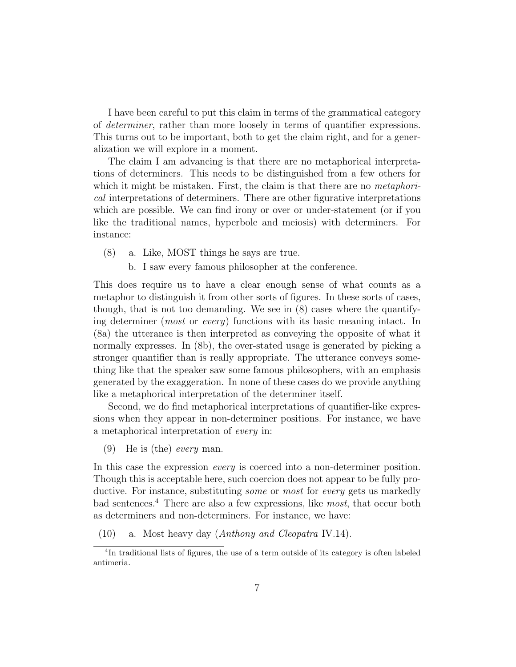I have been careful to put this claim in terms of the grammatical category of determiner, rather than more loosely in terms of quantifier expressions. This turns out to be important, both to get the claim right, and for a generalization we will explore in a moment.

The claim I am advancing is that there are no metaphorical interpretations of determiners. This needs to be distinguished from a few others for which it might be mistaken. First, the claim is that there are no *metaphori*cal interpretations of determiners. There are other figurative interpretations which are possible. We can find irony or over or under-statement (or if you like the traditional names, hyperbole and meiosis) with determiners. For instance:

- (8) a. Like, MOST things he says are true.
	- b. I saw every famous philosopher at the conference.

This does require us to have a clear enough sense of what counts as a metaphor to distinguish it from other sorts of figures. In these sorts of cases, though, that is not too demanding. We see in (8) cases where the quantifying determiner (*most* or *every*) functions with its basic meaning intact. In (8a) the utterance is then interpreted as conveying the opposite of what it normally expresses. In (8b), the over-stated usage is generated by picking a stronger quantifier than is really appropriate. The utterance conveys something like that the speaker saw some famous philosophers, with an emphasis generated by the exaggeration. In none of these cases do we provide anything like a metaphorical interpretation of the determiner itself.

Second, we do find metaphorical interpretations of quantifier-like expressions when they appear in non-determiner positions. For instance, we have a metaphorical interpretation of every in:

(9) He is (the) every man.

In this case the expression *every* is coerced into a non-determiner position. Though this is acceptable here, such coercion does not appear to be fully productive. For instance, substituting *some* or *most* for *every* gets us markedly bad sentences.<sup>4</sup> There are also a few expressions, like *most*, that occur both as determiners and non-determiners. For instance, we have:

(10) a. Most heavy day (Anthony and Cleopatra IV.14).

<sup>&</sup>lt;sup>4</sup>In traditional lists of figures, the use of a term outside of its category is often labeled antimeria.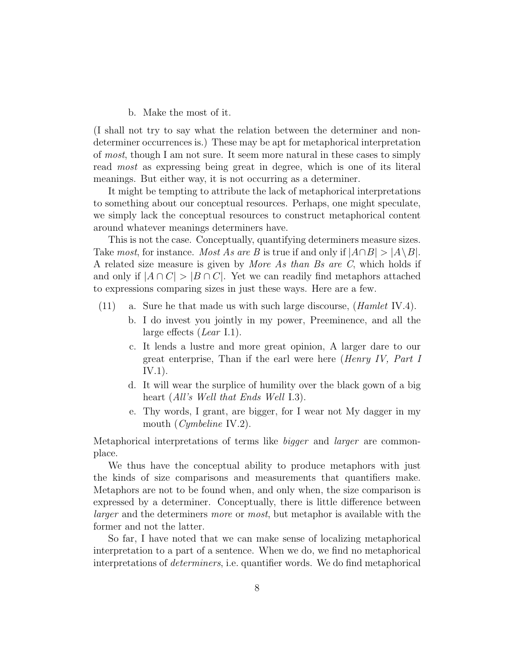#### b. Make the most of it.

(I shall not try to say what the relation between the determiner and nondeterminer occurrences is.) These may be apt for metaphorical interpretation of most, though I am not sure. It seem more natural in these cases to simply read most as expressing being great in degree, which is one of its literal meanings. But either way, it is not occurring as a determiner.

It might be tempting to attribute the lack of metaphorical interpretations to something about our conceptual resources. Perhaps, one might speculate, we simply lack the conceptual resources to construct metaphorical content around whatever meanings determiners have.

This is not the case. Conceptually, quantifying determiners measure sizes. Take most, for instance. Most As are B is true if and only if  $|A \cap B| > |A \setminus B|$ . A related size measure is given by More As than Bs are C, which holds if and only if  $|A \cap C| > |B \cap C|$ . Yet we can readily find metaphors attached to expressions comparing sizes in just these ways. Here are a few.

- (11) a. Sure he that made us with such large discourse, (Hamlet IV.4).
	- b. I do invest you jointly in my power, Preeminence, and all the large effects (*Lear* I.1).
	- c. It lends a lustre and more great opinion, A larger dare to our great enterprise, Than if the earl were here *(Henry IV, Part I* IV.1).
	- d. It will wear the surplice of humility over the black gown of a big heart (All's Well that Ends Well I.3).
	- e. Thy words, I grant, are bigger, for I wear not My dagger in my mouth (*Cymbeline* IV.2).

Metaphorical interpretations of terms like bigger and larger are commonplace.

We thus have the conceptual ability to produce metaphors with just the kinds of size comparisons and measurements that quantifiers make. Metaphors are not to be found when, and only when, the size comparison is expressed by a determiner. Conceptually, there is little difference between larger and the determiners more or most, but metaphor is available with the former and not the latter.

So far, I have noted that we can make sense of localizing metaphorical interpretation to a part of a sentence. When we do, we find no metaphorical interpretations of determiners, i.e. quantifier words. We do find metaphorical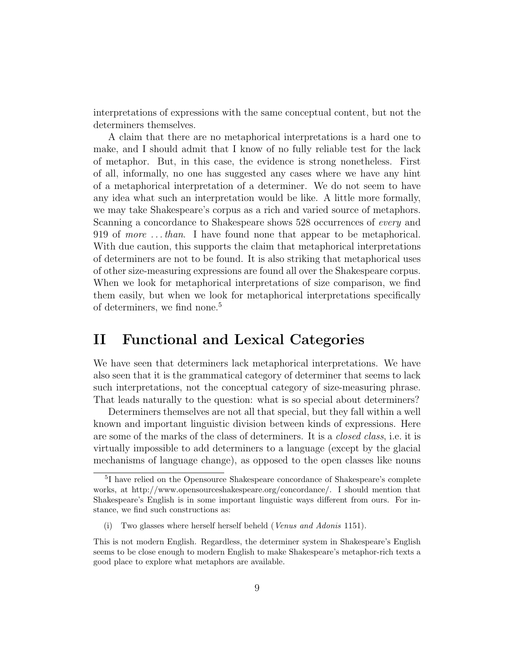interpretations of expressions with the same conceptual content, but not the determiners themselves.

A claim that there are no metaphorical interpretations is a hard one to make, and I should admit that I know of no fully reliable test for the lack of metaphor. But, in this case, the evidence is strong nonetheless. First of all, informally, no one has suggested any cases where we have any hint of a metaphorical interpretation of a determiner. We do not seem to have any idea what such an interpretation would be like. A little more formally, we may take Shakespeare's corpus as a rich and varied source of metaphors. Scanning a concordance to Shakespeare shows 528 occurrences of every and 919 of more . . . than. I have found none that appear to be metaphorical. With due caution, this supports the claim that metaphorical interpretations of determiners are not to be found. It is also striking that metaphorical uses of other size-measuring expressions are found all over the Shakespeare corpus. When we look for metaphorical interpretations of size comparison, we find them easily, but when we look for metaphorical interpretations specifically of determiners, we find none.<sup>5</sup>

## II Functional and Lexical Categories

We have seen that determiners lack metaphorical interpretations. We have also seen that it is the grammatical category of determiner that seems to lack such interpretations, not the conceptual category of size-measuring phrase. That leads naturally to the question: what is so special about determiners?

Determiners themselves are not all that special, but they fall within a well known and important linguistic division between kinds of expressions. Here are some of the marks of the class of determiners. It is a closed class, i.e. it is virtually impossible to add determiners to a language (except by the glacial mechanisms of language change), as opposed to the open classes like nouns

<sup>5</sup> I have relied on the Opensource Shakespeare concordance of Shakespeare's complete works, at http://www.opensourceshakespeare.org/concordance/. I should mention that Shakespeare's English is in some important linguistic ways different from ours. For instance, we find such constructions as:

<sup>(</sup>i) Two glasses where herself herself beheld (Venus and Adonis 1151).

This is not modern English. Regardless, the determiner system in Shakespeare's English seems to be close enough to modern English to make Shakespeare's metaphor-rich texts a good place to explore what metaphors are available.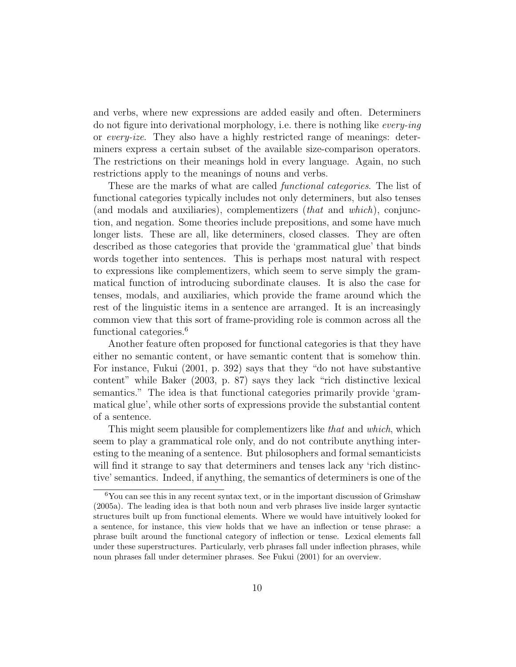and verbs, where new expressions are added easily and often. Determiners do not figure into derivational morphology, i.e. there is nothing like every-ing or every-ize. They also have a highly restricted range of meanings: determiners express a certain subset of the available size-comparison operators. The restrictions on their meanings hold in every language. Again, no such restrictions apply to the meanings of nouns and verbs.

These are the marks of what are called *functional categories*. The list of functional categories typically includes not only determiners, but also tenses (and modals and auxiliaries), complementizers (that and which), conjunction, and negation. Some theories include prepositions, and some have much longer lists. These are all, like determiners, closed classes. They are often described as those categories that provide the 'grammatical glue' that binds words together into sentences. This is perhaps most natural with respect to expressions like complementizers, which seem to serve simply the grammatical function of introducing subordinate clauses. It is also the case for tenses, modals, and auxiliaries, which provide the frame around which the rest of the linguistic items in a sentence are arranged. It is an increasingly common view that this sort of frame-providing role is common across all the functional categories.<sup>6</sup>

Another feature often proposed for functional categories is that they have either no semantic content, or have semantic content that is somehow thin. For instance, Fukui (2001, p. 392) says that they "do not have substantive content" while Baker (2003, p. 87) says they lack "rich distinctive lexical semantics." The idea is that functional categories primarily provide 'grammatical glue', while other sorts of expressions provide the substantial content of a sentence.

This might seem plausible for complementizers like *that* and *which*, which seem to play a grammatical role only, and do not contribute anything interesting to the meaning of a sentence. But philosophers and formal semanticists will find it strange to say that determiners and tenses lack any 'rich distinctive' semantics. Indeed, if anything, the semantics of determiners is one of the

<sup>6</sup>You can see this in any recent syntax text, or in the important discussion of Grimshaw (2005a). The leading idea is that both noun and verb phrases live inside larger syntactic structures built up from functional elements. Where we would have intuitively looked for a sentence, for instance, this view holds that we have an inflection or tense phrase: a phrase built around the functional category of inflection or tense. Lexical elements fall under these superstructures. Particularly, verb phrases fall under inflection phrases, while noun phrases fall under determiner phrases. See Fukui (2001) for an overview.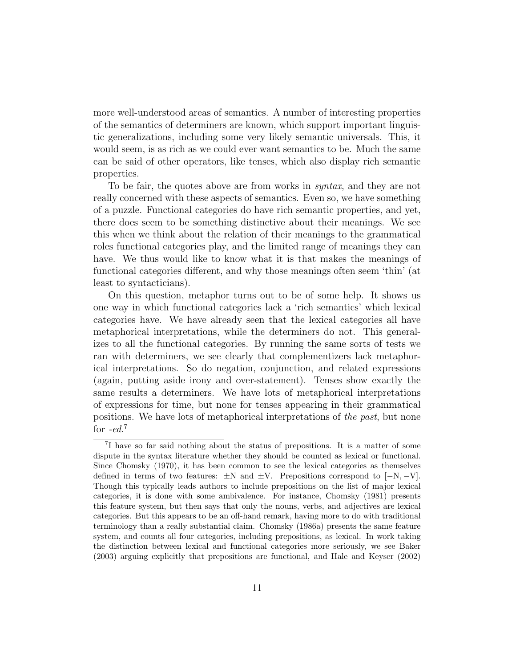more well-understood areas of semantics. A number of interesting properties of the semantics of determiners are known, which support important linguistic generalizations, including some very likely semantic universals. This, it would seem, is as rich as we could ever want semantics to be. Much the same can be said of other operators, like tenses, which also display rich semantic properties.

To be fair, the quotes above are from works in *syntax*, and they are not really concerned with these aspects of semantics. Even so, we have something of a puzzle. Functional categories do have rich semantic properties, and yet, there does seem to be something distinctive about their meanings. We see this when we think about the relation of their meanings to the grammatical roles functional categories play, and the limited range of meanings they can have. We thus would like to know what it is that makes the meanings of functional categories different, and why those meanings often seem 'thin' (at least to syntacticians).

On this question, metaphor turns out to be of some help. It shows us one way in which functional categories lack a 'rich semantics' which lexical categories have. We have already seen that the lexical categories all have metaphorical interpretations, while the determiners do not. This generalizes to all the functional categories. By running the same sorts of tests we ran with determiners, we see clearly that complementizers lack metaphorical interpretations. So do negation, conjunction, and related expressions (again, putting aside irony and over-statement). Tenses show exactly the same results a determiners. We have lots of metaphorical interpretations of expressions for time, but none for tenses appearing in their grammatical positions. We have lots of metaphorical interpretations of the past, but none for  $-ed$ .<sup>7</sup>

<sup>7</sup> I have so far said nothing about the status of prepositions. It is a matter of some dispute in the syntax literature whether they should be counted as lexical or functional. Since Chomsky (1970), it has been common to see the lexical categories as themselves defined in terms of two features:  $\pm N$  and  $\pm V$ . Prepositions correspond to  $[-N, -V]$ . Though this typically leads authors to include prepositions on the list of major lexical categories, it is done with some ambivalence. For instance, Chomsky (1981) presents this feature system, but then says that only the nouns, verbs, and adjectives are lexical categories. But this appears to be an off-hand remark, having more to do with traditional terminology than a really substantial claim. Chomsky (1986a) presents the same feature system, and counts all four categories, including prepositions, as lexical. In work taking the distinction between lexical and functional categories more seriously, we see Baker (2003) arguing explicitly that prepositions are functional, and Hale and Keyser (2002)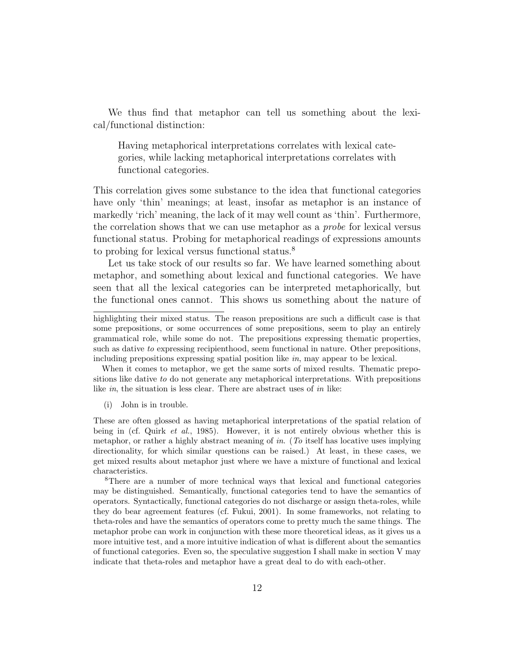We thus find that metaphor can tell us something about the lexical/functional distinction:

Having metaphorical interpretations correlates with lexical categories, while lacking metaphorical interpretations correlates with functional categories.

This correlation gives some substance to the idea that functional categories have only 'thin' meanings; at least, insofar as metaphor is an instance of markedly 'rich' meaning, the lack of it may well count as 'thin'. Furthermore, the correlation shows that we can use metaphor as a probe for lexical versus functional status. Probing for metaphorical readings of expressions amounts to probing for lexical versus functional status.<sup>8</sup>

Let us take stock of our results so far. We have learned something about metaphor, and something about lexical and functional categories. We have seen that all the lexical categories can be interpreted metaphorically, but the functional ones cannot. This shows us something about the nature of

When it comes to metaphor, we get the same sorts of mixed results. Thematic prepositions like dative to do not generate any metaphorical interpretations. With prepositions like in, the situation is less clear. There are abstract uses of in like:

(i) John is in trouble.

These are often glossed as having metaphorical interpretations of the spatial relation of being in (cf. Quirk *et al.*, 1985). However, it is not entirely obvious whether this is metaphor, or rather a highly abstract meaning of in. (To itself has locative uses implying directionality, for which similar questions can be raised.) At least, in these cases, we get mixed results about metaphor just where we have a mixture of functional and lexical characteristics.

<sup>8</sup>There are a number of more technical ways that lexical and functional categories may be distinguished. Semantically, functional categories tend to have the semantics of operators. Syntactically, functional categories do not discharge or assign theta-roles, while they do bear agreement features (cf. Fukui, 2001). In some frameworks, not relating to theta-roles and have the semantics of operators come to pretty much the same things. The metaphor probe can work in conjunction with these more theoretical ideas, as it gives us a more intuitive test, and a more intuitive indication of what is different about the semantics of functional categories. Even so, the speculative suggestion I shall make in section V may indicate that theta-roles and metaphor have a great deal to do with each-other.

highlighting their mixed status. The reason prepositions are such a difficult case is that some prepositions, or some occurrences of some prepositions, seem to play an entirely grammatical role, while some do not. The prepositions expressing thematic properties, such as dative to expressing recipienthood, seem functional in nature. Other prepositions, including prepositions expressing spatial position like in, may appear to be lexical.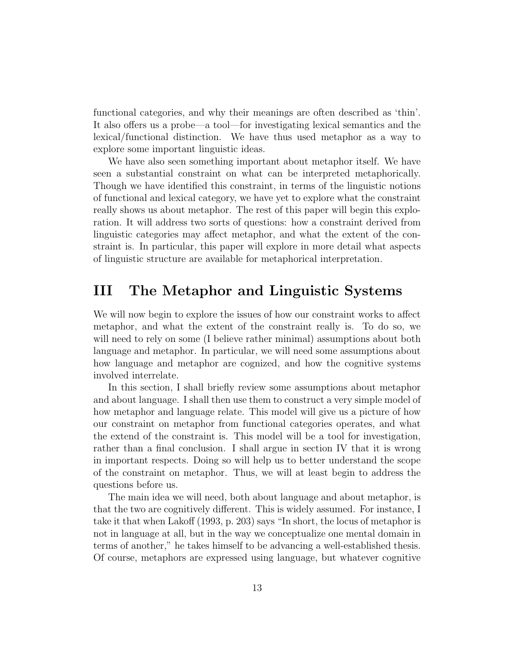functional categories, and why their meanings are often described as 'thin'. It also offers us a probe—a tool—for investigating lexical semantics and the lexical/functional distinction. We have thus used metaphor as a way to explore some important linguistic ideas.

We have also seen something important about metaphor itself. We have seen a substantial constraint on what can be interpreted metaphorically. Though we have identified this constraint, in terms of the linguistic notions of functional and lexical category, we have yet to explore what the constraint really shows us about metaphor. The rest of this paper will begin this exploration. It will address two sorts of questions: how a constraint derived from linguistic categories may affect metaphor, and what the extent of the constraint is. In particular, this paper will explore in more detail what aspects of linguistic structure are available for metaphorical interpretation.

### III The Metaphor and Linguistic Systems

We will now begin to explore the issues of how our constraint works to affect metaphor, and what the extent of the constraint really is. To do so, we will need to rely on some (I believe rather minimal) assumptions about both language and metaphor. In particular, we will need some assumptions about how language and metaphor are cognized, and how the cognitive systems involved interrelate.

In this section, I shall briefly review some assumptions about metaphor and about language. I shall then use them to construct a very simple model of how metaphor and language relate. This model will give us a picture of how our constraint on metaphor from functional categories operates, and what the extend of the constraint is. This model will be a tool for investigation, rather than a final conclusion. I shall argue in section IV that it is wrong in important respects. Doing so will help us to better understand the scope of the constraint on metaphor. Thus, we will at least begin to address the questions before us.

The main idea we will need, both about language and about metaphor, is that the two are cognitively different. This is widely assumed. For instance, I take it that when Lakoff (1993, p. 203) says "In short, the locus of metaphor is not in language at all, but in the way we conceptualize one mental domain in terms of another," he takes himself to be advancing a well-established thesis. Of course, metaphors are expressed using language, but whatever cognitive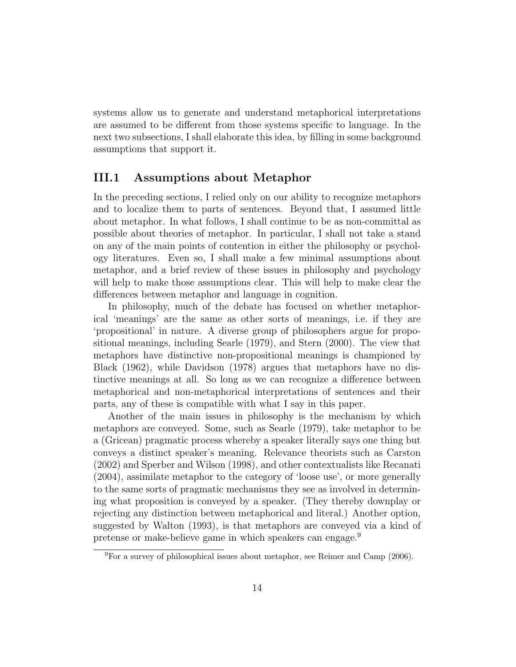systems allow us to generate and understand metaphorical interpretations are assumed to be different from those systems specific to language. In the next two subsections, I shall elaborate this idea, by filling in some background assumptions that support it.

#### III.1 Assumptions about Metaphor

In the preceding sections, I relied only on our ability to recognize metaphors and to localize them to parts of sentences. Beyond that, I assumed little about metaphor. In what follows, I shall continue to be as non-committal as possible about theories of metaphor. In particular, I shall not take a stand on any of the main points of contention in either the philosophy or psychology literatures. Even so, I shall make a few minimal assumptions about metaphor, and a brief review of these issues in philosophy and psychology will help to make those assumptions clear. This will help to make clear the differences between metaphor and language in cognition.

In philosophy, much of the debate has focused on whether metaphorical 'meanings' are the same as other sorts of meanings, i.e. if they are 'propositional' in nature. A diverse group of philosophers argue for propositional meanings, including Searle (1979), and Stern (2000). The view that metaphors have distinctive non-propositional meanings is championed by Black (1962), while Davidson (1978) argues that metaphors have no distinctive meanings at all. So long as we can recognize a difference between metaphorical and non-metaphorical interpretations of sentences and their parts, any of these is compatible with what I say in this paper.

Another of the main issues in philosophy is the mechanism by which metaphors are conveyed. Some, such as Searle (1979), take metaphor to be a (Gricean) pragmatic process whereby a speaker literally says one thing but conveys a distinct speaker's meaning. Relevance theorists such as Carston (2002) and Sperber and Wilson (1998), and other contextualists like Recanati (2004), assimilate metaphor to the category of 'loose use', or more generally to the same sorts of pragmatic mechanisms they see as involved in determining what proposition is conveyed by a speaker. (They thereby downplay or rejecting any distinction between metaphorical and literal.) Another option, suggested by Walton (1993), is that metaphors are conveyed via a kind of pretense or make-believe game in which speakers can engage.<sup>9</sup>

 ${}^{9}$ For a survey of philosophical issues about metaphor, see Reimer and Camp (2006).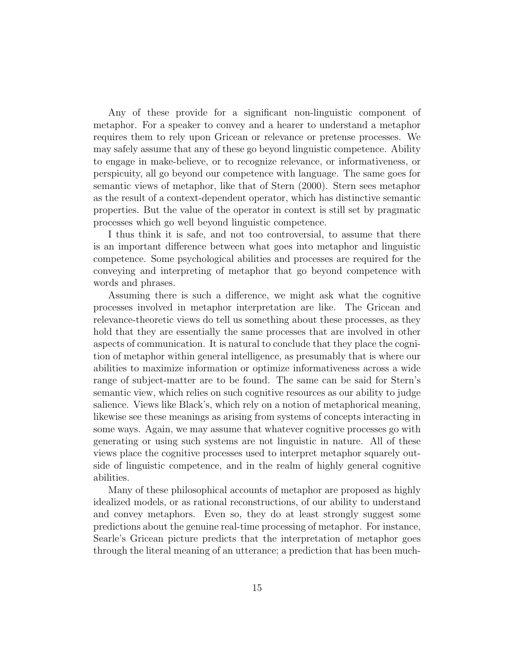Any of these provide for a significant non-linguistic component of metaphor. For a speaker to convey and a hearer to understand a metaphor requires them to rely upon Gricean or relevance or pretense processes. We may safely assume that any of these go beyond linguistic competence. Ability to engage in make-believe, or to recognize relevance, or informativeness, or perspicuity, all go beyond our competence with language. The same goes for semantic views of metaphor, like that of Stern (2000). Stern sees metaphor as the result of a context-dependent operator, which has distinctive semantic properties. But the value of the operator in context is still set by pragmatic processes which go well beyond linguistic competence.

I thus think it is safe, and not too controversial, to assume that there is an important difference between what goes into metaphor and linguistic competence. Some psychological abilities and processes are required for the conveying and interpreting of metaphor that go beyond competence with words and phrases.

Assuming there is such a difference, we might ask what the cognitive processes involved in metaphor interpretation are like. The Gricean and relevance-theoretic views do tell us something about these processes, as they hold that they are essentially the same processes that are involved in other aspects of communication. It is natural to conclude that they place the cognition of metaphor within general intelligence, as presumably that is where our abilities to maximize information or optimize informativeness across a wide range of subject-matter are to be found. The same can be said for Stern's semantic view, which relies on such cognitive resources as our ability to judge salience. Views like Black's, which rely on a notion of metaphorical meaning, likewise see these meanings as arising from systems of concepts interacting in some ways. Again, we may assume that whatever cognitive processes go with generating or using such systems are not linguistic in nature. All of these views place the cognitive processes used to interpret metaphor squarely outside of linguistic competence, and in the realm of highly general cognitive abilities.

Many of these philosophical accounts of metaphor are proposed as highly idealized models, or as rational reconstructions, of our ability to understand and convey metaphors. Even so, they do at least strongly suggest some predictions about the genuine real-time processing of metaphor. For instance, Searle's Gricean picture predicts that the interpretation of metaphor goes through the literal meaning of an utterance; a prediction that has been much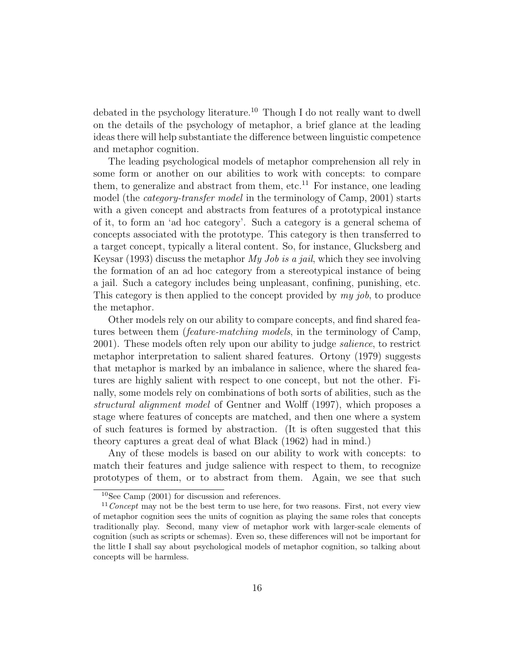debated in the psychology literature.<sup>10</sup> Though I do not really want to dwell on the details of the psychology of metaphor, a brief glance at the leading ideas there will help substantiate the difference between linguistic competence and metaphor cognition.

The leading psychological models of metaphor comprehension all rely in some form or another on our abilities to work with concepts: to compare them, to generalize and abstract from them, etc.<sup>11</sup> For instance, one leading model (the *category-transfer model* in the terminology of Camp, 2001) starts with a given concept and abstracts from features of a prototypical instance of it, to form an 'ad hoc category'. Such a category is a general schema of concepts associated with the prototype. This category is then transferred to a target concept, typically a literal content. So, for instance, Glucksberg and Keysar (1993) discuss the metaphor  $My\,Job\,is\,a\,jail$ , which they see involving the formation of an ad hoc category from a stereotypical instance of being a jail. Such a category includes being unpleasant, confining, punishing, etc. This category is then applied to the concept provided by my job, to produce the metaphor.

Other models rely on our ability to compare concepts, and find shared features between them (feature-matching models, in the terminology of Camp, 2001). These models often rely upon our ability to judge salience, to restrict metaphor interpretation to salient shared features. Ortony (1979) suggests that metaphor is marked by an imbalance in salience, where the shared features are highly salient with respect to one concept, but not the other. Finally, some models rely on combinations of both sorts of abilities, such as the structural alignment model of Gentner and Wolff (1997), which proposes a stage where features of concepts are matched, and then one where a system of such features is formed by abstraction. (It is often suggested that this theory captures a great deal of what Black (1962) had in mind.)

Any of these models is based on our ability to work with concepts: to match their features and judge salience with respect to them, to recognize prototypes of them, or to abstract from them. Again, we see that such

<sup>10</sup>See Camp (2001) for discussion and references.

 $11$ Concept may not be the best term to use here, for two reasons. First, not every view of metaphor cognition sees the units of cognition as playing the same roles that concepts traditionally play. Second, many view of metaphor work with larger-scale elements of cognition (such as scripts or schemas). Even so, these differences will not be important for the little I shall say about psychological models of metaphor cognition, so talking about concepts will be harmless.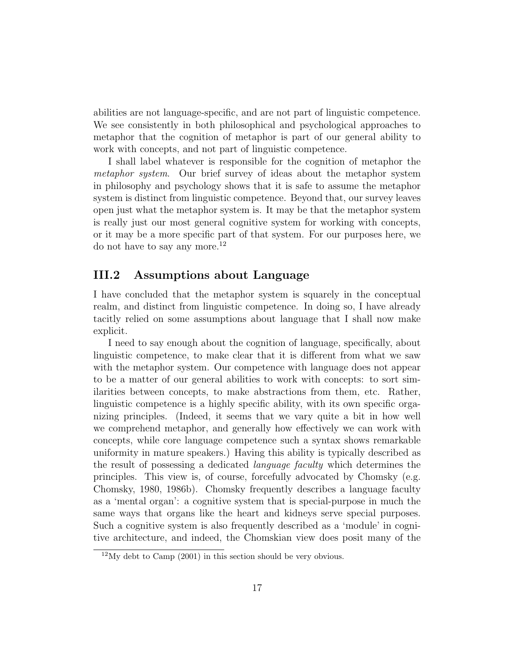abilities are not language-specific, and are not part of linguistic competence. We see consistently in both philosophical and psychological approaches to metaphor that the cognition of metaphor is part of our general ability to work with concepts, and not part of linguistic competence.

I shall label whatever is responsible for the cognition of metaphor the metaphor system. Our brief survey of ideas about the metaphor system in philosophy and psychology shows that it is safe to assume the metaphor system is distinct from linguistic competence. Beyond that, our survey leaves open just what the metaphor system is. It may be that the metaphor system is really just our most general cognitive system for working with concepts, or it may be a more specific part of that system. For our purposes here, we do not have to say any more.<sup>12</sup>

#### III.2 Assumptions about Language

I have concluded that the metaphor system is squarely in the conceptual realm, and distinct from linguistic competence. In doing so, I have already tacitly relied on some assumptions about language that I shall now make explicit.

I need to say enough about the cognition of language, specifically, about linguistic competence, to make clear that it is different from what we saw with the metaphor system. Our competence with language does not appear to be a matter of our general abilities to work with concepts: to sort similarities between concepts, to make abstractions from them, etc. Rather, linguistic competence is a highly specific ability, with its own specific organizing principles. (Indeed, it seems that we vary quite a bit in how well we comprehend metaphor, and generally how effectively we can work with concepts, while core language competence such a syntax shows remarkable uniformity in mature speakers.) Having this ability is typically described as the result of possessing a dedicated language faculty which determines the principles. This view is, of course, forcefully advocated by Chomsky (e.g. Chomsky, 1980, 1986b). Chomsky frequently describes a language faculty as a 'mental organ': a cognitive system that is special-purpose in much the same ways that organs like the heart and kidneys serve special purposes. Such a cognitive system is also frequently described as a 'module' in cognitive architecture, and indeed, the Chomskian view does posit many of the

 $12\text{My}$  debt to Camp (2001) in this section should be very obvious.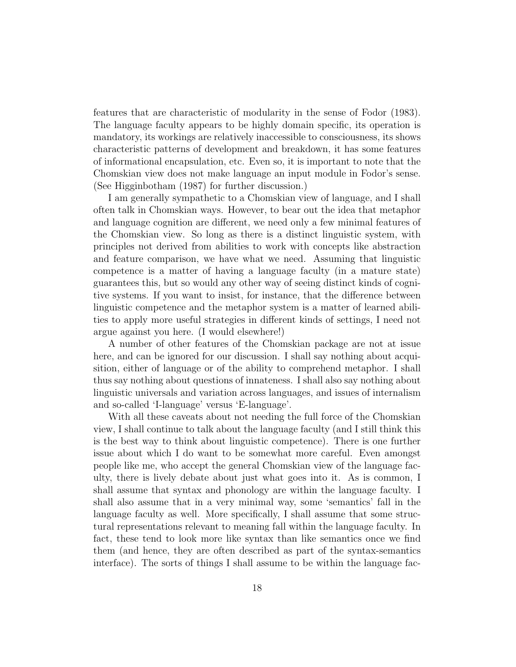features that are characteristic of modularity in the sense of Fodor (1983). The language faculty appears to be highly domain specific, its operation is mandatory, its workings are relatively inaccessible to consciousness, its shows characteristic patterns of development and breakdown, it has some features of informational encapsulation, etc. Even so, it is important to note that the Chomskian view does not make language an input module in Fodor's sense. (See Higginbotham (1987) for further discussion.)

I am generally sympathetic to a Chomskian view of language, and I shall often talk in Chomskian ways. However, to bear out the idea that metaphor and language cognition are different, we need only a few minimal features of the Chomskian view. So long as there is a distinct linguistic system, with principles not derived from abilities to work with concepts like abstraction and feature comparison, we have what we need. Assuming that linguistic competence is a matter of having a language faculty (in a mature state) guarantees this, but so would any other way of seeing distinct kinds of cognitive systems. If you want to insist, for instance, that the difference between linguistic competence and the metaphor system is a matter of learned abilities to apply more useful strategies in different kinds of settings, I need not argue against you here. (I would elsewhere!)

A number of other features of the Chomskian package are not at issue here, and can be ignored for our discussion. I shall say nothing about acquisition, either of language or of the ability to comprehend metaphor. I shall thus say nothing about questions of innateness. I shall also say nothing about linguistic universals and variation across languages, and issues of internalism and so-called 'I-language' versus 'E-language'.

With all these caveats about not needing the full force of the Chomskian view, I shall continue to talk about the language faculty (and I still think this is the best way to think about linguistic competence). There is one further issue about which I do want to be somewhat more careful. Even amongst people like me, who accept the general Chomskian view of the language faculty, there is lively debate about just what goes into it. As is common, I shall assume that syntax and phonology are within the language faculty. I shall also assume that in a very minimal way, some 'semantics' fall in the language faculty as well. More specifically, I shall assume that some structural representations relevant to meaning fall within the language faculty. In fact, these tend to look more like syntax than like semantics once we find them (and hence, they are often described as part of the syntax-semantics interface). The sorts of things I shall assume to be within the language fac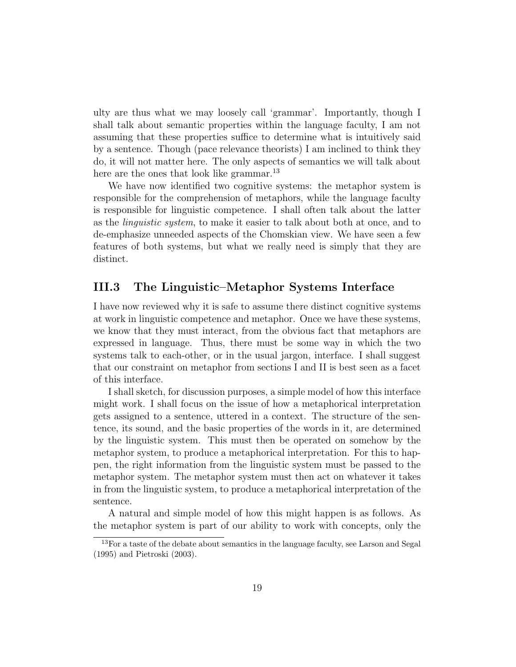ulty are thus what we may loosely call 'grammar'. Importantly, though I shall talk about semantic properties within the language faculty, I am not assuming that these properties suffice to determine what is intuitively said by a sentence. Though (pace relevance theorists) I am inclined to think they do, it will not matter here. The only aspects of semantics we will talk about here are the ones that look like grammar.<sup>13</sup>

We have now identified two cognitive systems: the metaphor system is responsible for the comprehension of metaphors, while the language faculty is responsible for linguistic competence. I shall often talk about the latter as the linguistic system, to make it easier to talk about both at once, and to de-emphasize unneeded aspects of the Chomskian view. We have seen a few features of both systems, but what we really need is simply that they are distinct.

#### III.3 The Linguistic–Metaphor Systems Interface

I have now reviewed why it is safe to assume there distinct cognitive systems at work in linguistic competence and metaphor. Once we have these systems, we know that they must interact, from the obvious fact that metaphors are expressed in language. Thus, there must be some way in which the two systems talk to each-other, or in the usual jargon, interface. I shall suggest that our constraint on metaphor from sections I and II is best seen as a facet of this interface.

I shall sketch, for discussion purposes, a simple model of how this interface might work. I shall focus on the issue of how a metaphorical interpretation gets assigned to a sentence, uttered in a context. The structure of the sentence, its sound, and the basic properties of the words in it, are determined by the linguistic system. This must then be operated on somehow by the metaphor system, to produce a metaphorical interpretation. For this to happen, the right information from the linguistic system must be passed to the metaphor system. The metaphor system must then act on whatever it takes in from the linguistic system, to produce a metaphorical interpretation of the sentence.

A natural and simple model of how this might happen is as follows. As the metaphor system is part of our ability to work with concepts, only the

<sup>&</sup>lt;sup>13</sup>For a taste of the debate about semantics in the language faculty, see Larson and Segal (1995) and Pietroski (2003).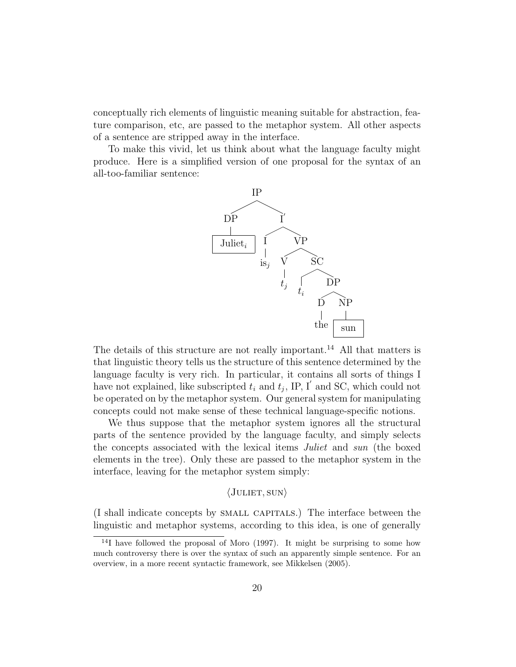conceptually rich elements of linguistic meaning suitable for abstraction, feature comparison, etc, are passed to the metaphor system. All other aspects of a sentence are stripped away in the interface.

To make this vivid, let us think about what the language faculty might produce. Here is a simplified version of one proposal for the syntax of an all-too-familiar sentence:



The details of this structure are not really important.<sup>14</sup> All that matters is that linguistic theory tells us the structure of this sentence determined by the language faculty is very rich. In particular, it contains all sorts of things I have not explained, like subscripted  $t_i$  and  $t_j$ , IP, I' and SC, which could not be operated on by the metaphor system. Our general system for manipulating concepts could not make sense of these technical language-specific notions.

We thus suppose that the metaphor system ignores all the structural parts of the sentence provided by the language faculty, and simply selects the concepts associated with the lexical items Juliet and sun (the boxed elements in the tree). Only these are passed to the metaphor system in the interface, leaving for the metaphor system simply:

#### $\langle$ JULIET, SUN $\rangle$

(I shall indicate concepts by small capitals.) The interface between the linguistic and metaphor systems, according to this idea, is one of generally

<sup>&</sup>lt;sup>14</sup>I have followed the proposal of Moro (1997). It might be surprising to some how much controversy there is over the syntax of such an apparently simple sentence. For an overview, in a more recent syntactic framework, see Mikkelsen (2005).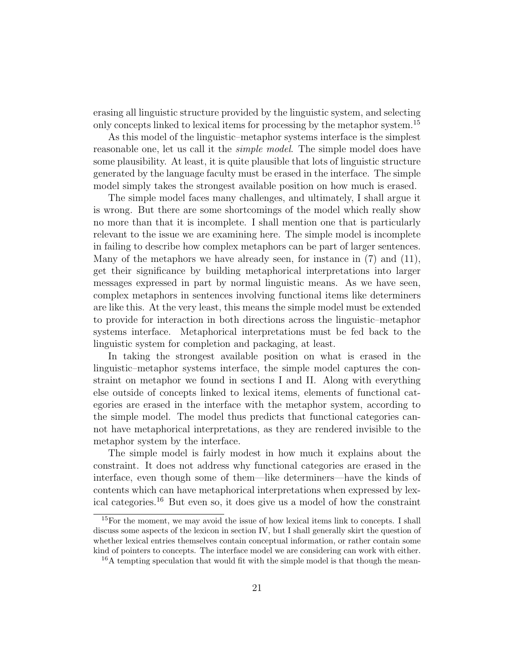erasing all linguistic structure provided by the linguistic system, and selecting only concepts linked to lexical items for processing by the metaphor system.<sup>15</sup>

As this model of the linguistic–metaphor systems interface is the simplest reasonable one, let us call it the *simple model*. The simple model does have some plausibility. At least, it is quite plausible that lots of linguistic structure generated by the language faculty must be erased in the interface. The simple model simply takes the strongest available position on how much is erased.

The simple model faces many challenges, and ultimately, I shall argue it is wrong. But there are some shortcomings of the model which really show no more than that it is incomplete. I shall mention one that is particularly relevant to the issue we are examining here. The simple model is incomplete in failing to describe how complex metaphors can be part of larger sentences. Many of the metaphors we have already seen, for instance in (7) and (11), get their significance by building metaphorical interpretations into larger messages expressed in part by normal linguistic means. As we have seen, complex metaphors in sentences involving functional items like determiners are like this. At the very least, this means the simple model must be extended to provide for interaction in both directions across the linguistic–metaphor systems interface. Metaphorical interpretations must be fed back to the linguistic system for completion and packaging, at least.

In taking the strongest available position on what is erased in the linguistic–metaphor systems interface, the simple model captures the constraint on metaphor we found in sections I and II. Along with everything else outside of concepts linked to lexical items, elements of functional categories are erased in the interface with the metaphor system, according to the simple model. The model thus predicts that functional categories cannot have metaphorical interpretations, as they are rendered invisible to the metaphor system by the interface.

The simple model is fairly modest in how much it explains about the constraint. It does not address why functional categories are erased in the interface, even though some of them—like determiners—have the kinds of contents which can have metaphorical interpretations when expressed by lexical categories.<sup>16</sup> But even so, it does give us a model of how the constraint

<sup>&</sup>lt;sup>15</sup>For the moment, we may avoid the issue of how lexical items link to concepts. I shall discuss some aspects of the lexicon in section IV, but I shall generally skirt the question of whether lexical entries themselves contain conceptual information, or rather contain some kind of pointers to concepts. The interface model we are considering can work with either.  $16A$  tempting speculation that would fit with the simple model is that though the mean-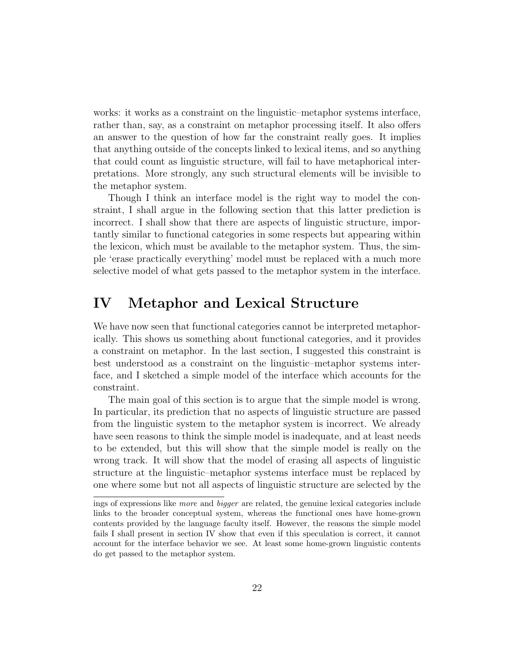works: it works as a constraint on the linguistic–metaphor systems interface, rather than, say, as a constraint on metaphor processing itself. It also offers an answer to the question of how far the constraint really goes. It implies that anything outside of the concepts linked to lexical items, and so anything that could count as linguistic structure, will fail to have metaphorical interpretations. More strongly, any such structural elements will be invisible to the metaphor system.

Though I think an interface model is the right way to model the constraint, I shall argue in the following section that this latter prediction is incorrect. I shall show that there are aspects of linguistic structure, importantly similar to functional categories in some respects but appearing within the lexicon, which must be available to the metaphor system. Thus, the simple 'erase practically everything' model must be replaced with a much more selective model of what gets passed to the metaphor system in the interface.

### IV Metaphor and Lexical Structure

We have now seen that functional categories cannot be interpreted metaphorically. This shows us something about functional categories, and it provides a constraint on metaphor. In the last section, I suggested this constraint is best understood as a constraint on the linguistic–metaphor systems interface, and I sketched a simple model of the interface which accounts for the constraint.

The main goal of this section is to argue that the simple model is wrong. In particular, its prediction that no aspects of linguistic structure are passed from the linguistic system to the metaphor system is incorrect. We already have seen reasons to think the simple model is inadequate, and at least needs to be extended, but this will show that the simple model is really on the wrong track. It will show that the model of erasing all aspects of linguistic structure at the linguistic–metaphor systems interface must be replaced by one where some but not all aspects of linguistic structure are selected by the

ings of expressions like more and bigger are related, the genuine lexical categories include links to the broader conceptual system, whereas the functional ones have home-grown contents provided by the language faculty itself. However, the reasons the simple model fails I shall present in section IV show that even if this speculation is correct, it cannot account for the interface behavior we see. At least some home-grown linguistic contents do get passed to the metaphor system.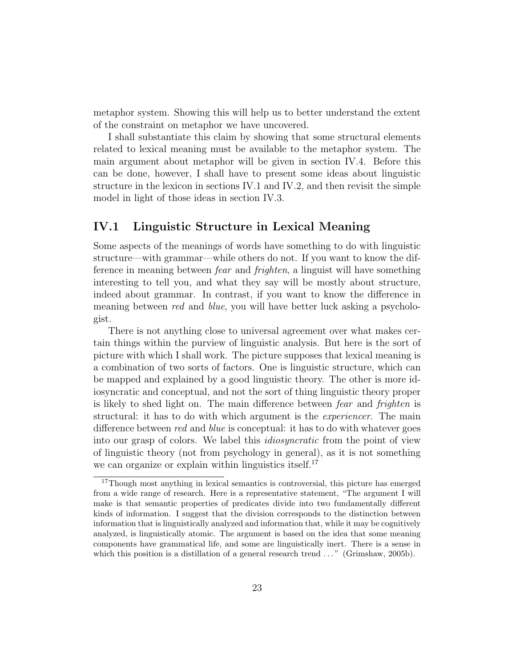metaphor system. Showing this will help us to better understand the extent of the constraint on metaphor we have uncovered.

I shall substantiate this claim by showing that some structural elements related to lexical meaning must be available to the metaphor system. The main argument about metaphor will be given in section IV.4. Before this can be done, however, I shall have to present some ideas about linguistic structure in the lexicon in sections IV.1 and IV.2, and then revisit the simple model in light of those ideas in section IV.3.

### IV.1 Linguistic Structure in Lexical Meaning

Some aspects of the meanings of words have something to do with linguistic structure—with grammar—while others do not. If you want to know the difference in meaning between fear and frighten, a linguist will have something interesting to tell you, and what they say will be mostly about structure, indeed about grammar. In contrast, if you want to know the difference in meaning between *red* and *blue*, you will have better luck asking a psychologist.

There is not anything close to universal agreement over what makes certain things within the purview of linguistic analysis. But here is the sort of picture with which I shall work. The picture supposes that lexical meaning is a combination of two sorts of factors. One is linguistic structure, which can be mapped and explained by a good linguistic theory. The other is more idiosyncratic and conceptual, and not the sort of thing linguistic theory proper is likely to shed light on. The main difference between fear and frighten is structural: it has to do with which argument is the experiencer. The main difference between *red* and *blue* is conceptual: it has to do with whatever goes into our grasp of colors. We label this idiosyncratic from the point of view of linguistic theory (not from psychology in general), as it is not something we can organize or explain within linguistics itself.<sup>17</sup>

<sup>&</sup>lt;sup>17</sup>Though most anything in lexical semantics is controversial, this picture has emerged from a wide range of research. Here is a representative statement, "The argument I will make is that semantic properties of predicates divide into two fundamentally different kinds of information. I suggest that the division corresponds to the distinction between information that is linguistically analyzed and information that, while it may be cognitively analyzed, is linguistically atomic. The argument is based on the idea that some meaning components have grammatical life, and some are linguistically inert. There is a sense in which this position is a distillation of a general research trend ..." (Grimshaw, 2005b).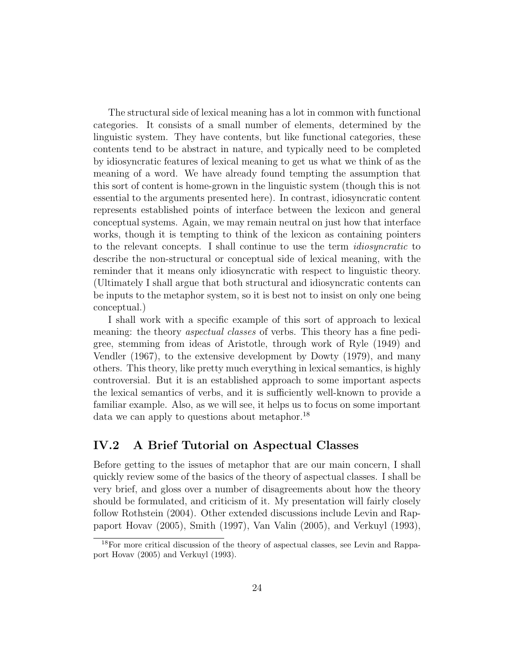The structural side of lexical meaning has a lot in common with functional categories. It consists of a small number of elements, determined by the linguistic system. They have contents, but like functional categories, these contents tend to be abstract in nature, and typically need to be completed by idiosyncratic features of lexical meaning to get us what we think of as the meaning of a word. We have already found tempting the assumption that this sort of content is home-grown in the linguistic system (though this is not essential to the arguments presented here). In contrast, idiosyncratic content represents established points of interface between the lexicon and general conceptual systems. Again, we may remain neutral on just how that interface works, though it is tempting to think of the lexicon as containing pointers to the relevant concepts. I shall continue to use the term idiosyncratic to describe the non-structural or conceptual side of lexical meaning, with the reminder that it means only idiosyncratic with respect to linguistic theory. (Ultimately I shall argue that both structural and idiosyncratic contents can be inputs to the metaphor system, so it is best not to insist on only one being conceptual.)

I shall work with a specific example of this sort of approach to lexical meaning: the theory *aspectual classes* of verbs. This theory has a fine pedigree, stemming from ideas of Aristotle, through work of Ryle (1949) and Vendler (1967), to the extensive development by Dowty (1979), and many others. This theory, like pretty much everything in lexical semantics, is highly controversial. But it is an established approach to some important aspects the lexical semantics of verbs, and it is sufficiently well-known to provide a familiar example. Also, as we will see, it helps us to focus on some important data we can apply to questions about metaphor.<sup>18</sup>

#### IV.2 A Brief Tutorial on Aspectual Classes

Before getting to the issues of metaphor that are our main concern, I shall quickly review some of the basics of the theory of aspectual classes. I shall be very brief, and gloss over a number of disagreements about how the theory should be formulated, and criticism of it. My presentation will fairly closely follow Rothstein (2004). Other extended discussions include Levin and Rappaport Hovav (2005), Smith (1997), Van Valin (2005), and Verkuyl (1993),

<sup>&</sup>lt;sup>18</sup>For more critical discussion of the theory of aspectual classes, see Levin and Rappaport Hovav (2005) and Verkuyl (1993).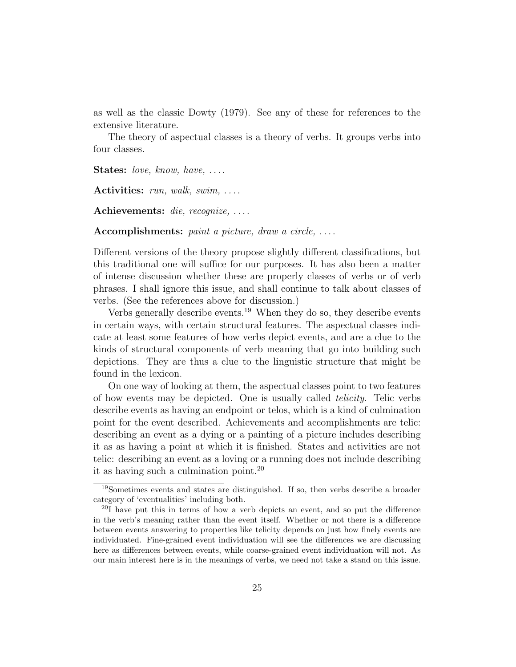as well as the classic Dowty (1979). See any of these for references to the extensive literature.

The theory of aspectual classes is a theory of verbs. It groups verbs into four classes.

**States:** love, know, have,  $\dots$ 

Activities:  $run, walk, swim, \ldots$ .

Achievements: die, recognize, ....

Accomplishments: paint a picture, draw a circle,  $\dots$ .

Different versions of the theory propose slightly different classifications, but this traditional one will suffice for our purposes. It has also been a matter of intense discussion whether these are properly classes of verbs or of verb phrases. I shall ignore this issue, and shall continue to talk about classes of verbs. (See the references above for discussion.)

Verbs generally describe events.<sup>19</sup> When they do so, they describe events in certain ways, with certain structural features. The aspectual classes indicate at least some features of how verbs depict events, and are a clue to the kinds of structural components of verb meaning that go into building such depictions. They are thus a clue to the linguistic structure that might be found in the lexicon.

On one way of looking at them, the aspectual classes point to two features of how events may be depicted. One is usually called telicity. Telic verbs describe events as having an endpoint or telos, which is a kind of culmination point for the event described. Achievements and accomplishments are telic: describing an event as a dying or a painting of a picture includes describing it as as having a point at which it is finished. States and activities are not telic: describing an event as a loving or a running does not include describing it as having such a culmination point.<sup>20</sup>

<sup>19</sup>Sometimes events and states are distinguished. If so, then verbs describe a broader category of 'eventualities' including both.

<sup>20</sup>I have put this in terms of how a verb depicts an event, and so put the difference in the verb's meaning rather than the event itself. Whether or not there is a difference between events answering to properties like telicity depends on just how finely events are individuated. Fine-grained event individuation will see the differences we are discussing here as differences between events, while coarse-grained event individuation will not. As our main interest here is in the meanings of verbs, we need not take a stand on this issue.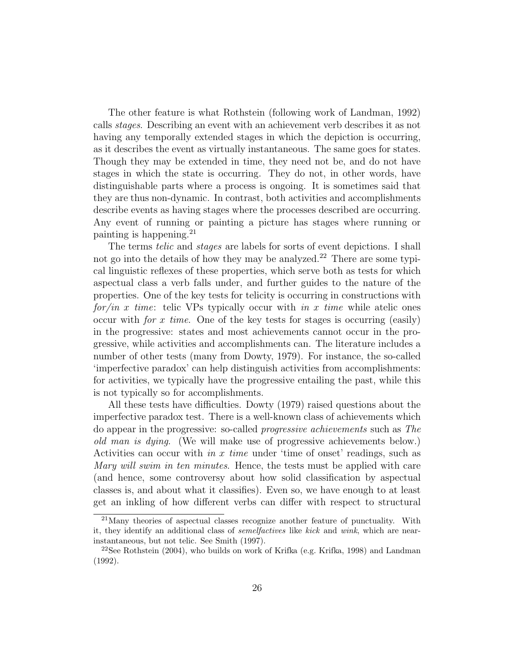The other feature is what Rothstein (following work of Landman, 1992) calls stages. Describing an event with an achievement verb describes it as not having any temporally extended stages in which the depiction is occurring, as it describes the event as virtually instantaneous. The same goes for states. Though they may be extended in time, they need not be, and do not have stages in which the state is occurring. They do not, in other words, have distinguishable parts where a process is ongoing. It is sometimes said that they are thus non-dynamic. In contrast, both activities and accomplishments describe events as having stages where the processes described are occurring. Any event of running or painting a picture has stages where running or painting is happening.<sup>21</sup>

The terms telic and stages are labels for sorts of event depictions. I shall not go into the details of how they may be analyzed.<sup>22</sup> There are some typical linguistic reflexes of these properties, which serve both as tests for which aspectual class a verb falls under, and further guides to the nature of the properties. One of the key tests for telicity is occurring in constructions with for/in x time: telic VPs typically occur with in x time while atelic ones occur with *for x time*. One of the key tests for stages is occurring (easily) in the progressive: states and most achievements cannot occur in the progressive, while activities and accomplishments can. The literature includes a number of other tests (many from Dowty, 1979). For instance, the so-called 'imperfective paradox' can help distinguish activities from accomplishments: for activities, we typically have the progressive entailing the past, while this is not typically so for accomplishments.

All these tests have difficulties. Dowty (1979) raised questions about the imperfective paradox test. There is a well-known class of achievements which do appear in the progressive: so-called progressive achievements such as The old man is dying. (We will make use of progressive achievements below.) Activities can occur with in x time under 'time of onset' readings, such as Mary will swim in ten minutes. Hence, the tests must be applied with care (and hence, some controversy about how solid classification by aspectual classes is, and about what it classifies). Even so, we have enough to at least get an inkling of how different verbs can differ with respect to structural

<sup>21</sup>Many theories of aspectual classes recognize another feature of punctuality. With it, they identify an additional class of semelfactives like kick and wink, which are nearinstantaneous, but not telic. See Smith (1997).

<sup>&</sup>lt;sup>22</sup>See Rothstein  $(2004)$ , who builds on work of Krifka (e.g. Krifka, 1998) and Landman (1992).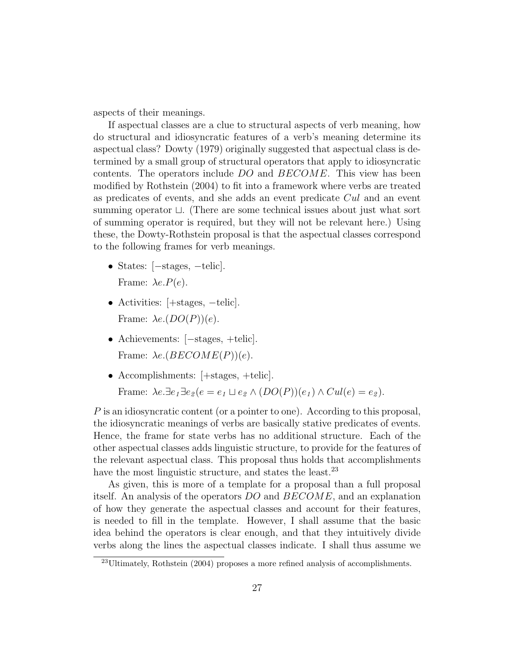aspects of their meanings.

If aspectual classes are a clue to structural aspects of verb meaning, how do structural and idiosyncratic features of a verb's meaning determine its aspectual class? Dowty (1979) originally suggested that aspectual class is determined by a small group of structural operators that apply to idiosyncratic contents. The operators include DO and BECOME. This view has been modified by Rothstein (2004) to fit into a framework where verbs are treated as predicates of events, and she adds an event predicate Cul and an event summing operator  $\Box$ . (There are some technical issues about just what sort of summing operator is required, but they will not be relevant here.) Using these, the Dowty-Rothstein proposal is that the aspectual classes correspond to the following frames for verb meanings.

- States: [−stages, −telic]. Frame:  $\lambda e.P(e)$ .
- Activities: [+stages, -telic]. Frame:  $\lambda e. (DO(P))(e)$ .
- Achievements: [−stages, +telic]. Frame:  $\lambda e. (BECOME(P))(e)$ .
- Accomplishments:  $[+stages, +telic].$ Frame:  $\lambda e.\exists e_1 \exists e_2 (e = e_1 \sqcup e_2 \wedge (DO(P))(e_1) \wedge Cul(e) = e_2).$

P is an idiosyncratic content (or a pointer to one). According to this proposal, the idiosyncratic meanings of verbs are basically stative predicates of events. Hence, the frame for state verbs has no additional structure. Each of the other aspectual classes adds linguistic structure, to provide for the features of the relevant aspectual class. This proposal thus holds that accomplishments have the most linguistic structure, and states the least.<sup>23</sup>

As given, this is more of a template for a proposal than a full proposal itself. An analysis of the operators DO and BECOME, and an explanation of how they generate the aspectual classes and account for their features, is needed to fill in the template. However, I shall assume that the basic idea behind the operators is clear enough, and that they intuitively divide verbs along the lines the aspectual classes indicate. I shall thus assume we

 $^{23}$ Ultimately, Rothstein (2004) proposes a more refined analysis of accomplishments.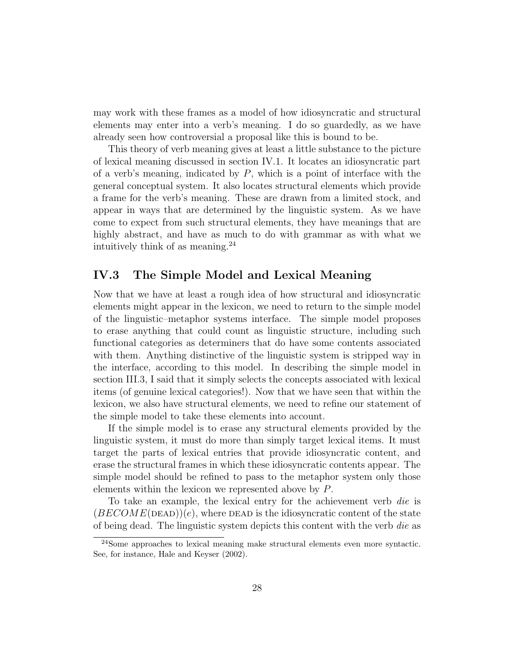may work with these frames as a model of how idiosyncratic and structural elements may enter into a verb's meaning. I do so guardedly, as we have already seen how controversial a proposal like this is bound to be.

This theory of verb meaning gives at least a little substance to the picture of lexical meaning discussed in section IV.1. It locates an idiosyncratic part of a verb's meaning, indicated by  $P$ , which is a point of interface with the general conceptual system. It also locates structural elements which provide a frame for the verb's meaning. These are drawn from a limited stock, and appear in ways that are determined by the linguistic system. As we have come to expect from such structural elements, they have meanings that are highly abstract, and have as much to do with grammar as with what we intuitively think of as meaning.<sup>24</sup>

### IV.3 The Simple Model and Lexical Meaning

Now that we have at least a rough idea of how structural and idiosyncratic elements might appear in the lexicon, we need to return to the simple model of the linguistic–metaphor systems interface. The simple model proposes to erase anything that could count as linguistic structure, including such functional categories as determiners that do have some contents associated with them. Anything distinctive of the linguistic system is stripped way in the interface, according to this model. In describing the simple model in section III.3, I said that it simply selects the concepts associated with lexical items (of genuine lexical categories!). Now that we have seen that within the lexicon, we also have structural elements, we need to refine our statement of the simple model to take these elements into account.

If the simple model is to erase any structural elements provided by the linguistic system, it must do more than simply target lexical items. It must target the parts of lexical entries that provide idiosyncratic content, and erase the structural frames in which these idiosyncratic contents appear. The simple model should be refined to pass to the metaphor system only those elements within the lexicon we represented above by P.

To take an example, the lexical entry for the achievement verb die is  $(BECOME(DEAD))(e)$ , where DEAD is the idiosyncratic content of the state of being dead. The linguistic system depicts this content with the verb die as

<sup>24</sup>Some approaches to lexical meaning make structural elements even more syntactic. See, for instance, Hale and Keyser (2002).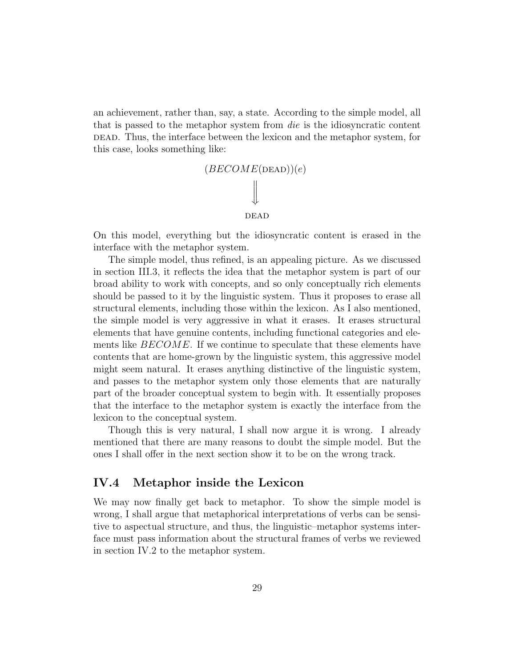an achievement, rather than, say, a state. According to the simple model, all that is passed to the metaphor system from die is the idiosyncratic content dead. Thus, the interface between the lexicon and the metaphor system, for this case, looks something like:



On this model, everything but the idiosyncratic content is erased in the interface with the metaphor system.

The simple model, thus refined, is an appealing picture. As we discussed in section III.3, it reflects the idea that the metaphor system is part of our broad ability to work with concepts, and so only conceptually rich elements should be passed to it by the linguistic system. Thus it proposes to erase all structural elements, including those within the lexicon. As I also mentioned, the simple model is very aggressive in what it erases. It erases structural elements that have genuine contents, including functional categories and elements like  $BECOME$ . If we continue to speculate that these elements have contents that are home-grown by the linguistic system, this aggressive model might seem natural. It erases anything distinctive of the linguistic system, and passes to the metaphor system only those elements that are naturally part of the broader conceptual system to begin with. It essentially proposes that the interface to the metaphor system is exactly the interface from the lexicon to the conceptual system.

Though this is very natural, I shall now argue it is wrong. I already mentioned that there are many reasons to doubt the simple model. But the ones I shall offer in the next section show it to be on the wrong track.

#### IV.4 Metaphor inside the Lexicon

We may now finally get back to metaphor. To show the simple model is wrong, I shall argue that metaphorical interpretations of verbs can be sensitive to aspectual structure, and thus, the linguistic–metaphor systems interface must pass information about the structural frames of verbs we reviewed in section IV.2 to the metaphor system.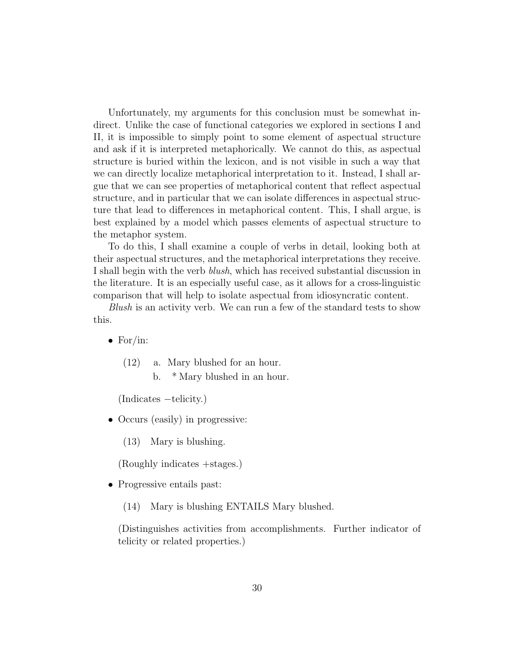Unfortunately, my arguments for this conclusion must be somewhat indirect. Unlike the case of functional categories we explored in sections I and II, it is impossible to simply point to some element of aspectual structure and ask if it is interpreted metaphorically. We cannot do this, as aspectual structure is buried within the lexicon, and is not visible in such a way that we can directly localize metaphorical interpretation to it. Instead, I shall argue that we can see properties of metaphorical content that reflect aspectual structure, and in particular that we can isolate differences in aspectual structure that lead to differences in metaphorical content. This, I shall argue, is best explained by a model which passes elements of aspectual structure to the metaphor system.

To do this, I shall examine a couple of verbs in detail, looking both at their aspectual structures, and the metaphorical interpretations they receive. I shall begin with the verb blush, which has received substantial discussion in the literature. It is an especially useful case, as it allows for a cross-linguistic comparison that will help to isolate aspectual from idiosyncratic content.

Blush is an activity verb. We can run a few of the standard tests to show this.

- For/in:
	- (12) a. Mary blushed for an hour.
		- b. \* Mary blushed in an hour.

(Indicates −telicity.)

• Occurs (easily) in progressive:

(13) Mary is blushing.

(Roughly indicates +stages.)

- Progressive entails past:
	- (14) Mary is blushing ENTAILS Mary blushed.

(Distinguishes activities from accomplishments. Further indicator of telicity or related properties.)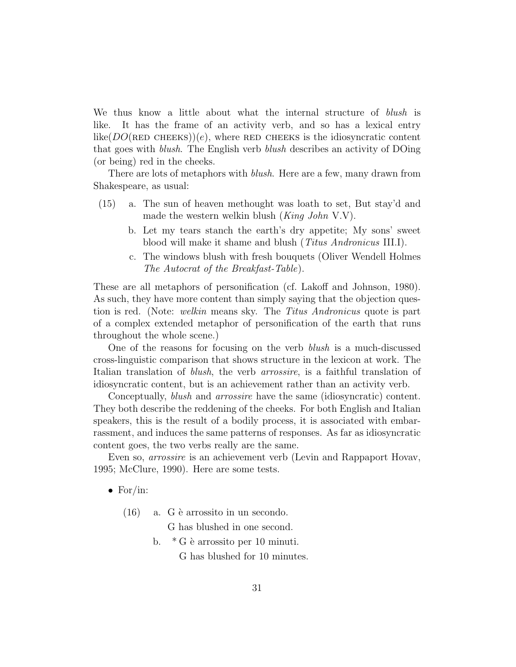We thus know a little about what the internal structure of *blush* is like. It has the frame of an activity verb, and so has a lexical entry like( $DO(\text{RED CHEEKS})$ )(e), where RED CHEEKS is the idiosyncratic content that goes with blush. The English verb blush describes an activity of DOing (or being) red in the cheeks.

There are lots of metaphors with *blush*. Here are a few, many drawn from Shakespeare, as usual:

- (15) a. The sun of heaven methought was loath to set, But stay'd and made the western welkin blush  $(King\ John\ V.V)$ .
	- b. Let my tears stanch the earth's dry appetite; My sons' sweet blood will make it shame and blush (Titus Andronicus III.I).
	- c. The windows blush with fresh bouquets (Oliver Wendell Holmes The Autocrat of the Breakfast-Table).

These are all metaphors of personification (cf. Lakoff and Johnson, 1980). As such, they have more content than simply saying that the objection question is red. (Note: welkin means sky. The Titus Andronicus quote is part of a complex extended metaphor of personification of the earth that runs throughout the whole scene.)

One of the reasons for focusing on the verb blush is a much-discussed cross-linguistic comparison that shows structure in the lexicon at work. The Italian translation of blush, the verb arrossire, is a faithful translation of idiosyncratic content, but is an achievement rather than an activity verb.

Conceptually, blush and arrossire have the same (idiosyncratic) content. They both describe the reddening of the cheeks. For both English and Italian speakers, this is the result of a bodily process, it is associated with embarrassment, and induces the same patterns of responses. As far as idiosyncratic content goes, the two verbs really are the same.

Even so, arrossire is an achievement verb (Levin and Rappaport Hovav, 1995; McClure, 1990). Here are some tests.

- For/in:
	- $(16)$  a. G è arrossito in un secondo.

G has blushed in one second.

b.  $*$  G è arrossito per 10 minuti. G has blushed for 10 minutes.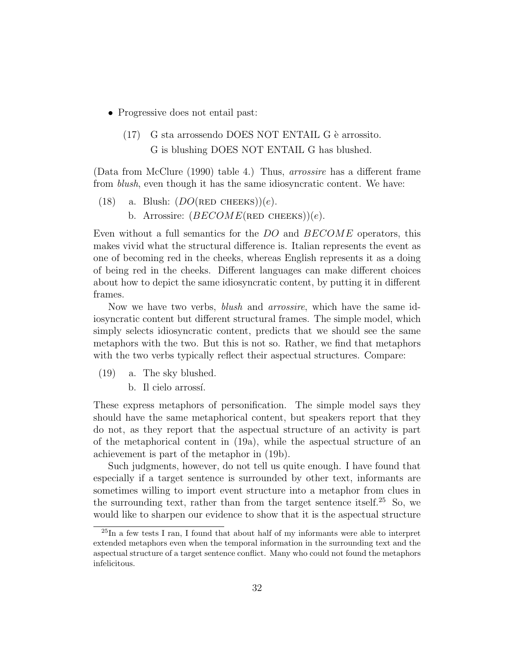- Progressive does not entail past:
	- $(17)$  G sta arrossendo DOES NOT ENTAIL G è arrossito. G is blushing DOES NOT ENTAIL G has blushed.

(Data from McClure (1990) table 4.) Thus, arrossire has a different frame from blush, even though it has the same idiosyncratic content. We have:

(18) a. Blush:  $(DO(\text{RED CHEEKS}))(e)$ . b. Arrossire:  $(BECOME(\text{RED CHEKS}))(e)$ .

Even without a full semantics for the DO and BECOME operators, this makes vivid what the structural difference is. Italian represents the event as one of becoming red in the cheeks, whereas English represents it as a doing of being red in the cheeks. Different languages can make different choices about how to depict the same idiosyncratic content, by putting it in different frames.

Now we have two verbs, *blush* and *arrossire*, which have the same idiosyncratic content but different structural frames. The simple model, which simply selects idiosyncratic content, predicts that we should see the same metaphors with the two. But this is not so. Rather, we find that metaphors with the two verbs typically reflect their aspectual structures. Compare:

(19) a. The sky blushed.

b. Il cielo arrossí.

These express metaphors of personification. The simple model says they should have the same metaphorical content, but speakers report that they do not, as they report that the aspectual structure of an activity is part of the metaphorical content in (19a), while the aspectual structure of an achievement is part of the metaphor in (19b).

Such judgments, however, do not tell us quite enough. I have found that especially if a target sentence is surrounded by other text, informants are sometimes willing to import event structure into a metaphor from clues in the surrounding text, rather than from the target sentence itself.<sup>25</sup> So, we would like to sharpen our evidence to show that it is the aspectual structure

 $^{25}$ In a few tests I ran, I found that about half of my informants were able to interpret extended metaphors even when the temporal information in the surrounding text and the aspectual structure of a target sentence conflict. Many who could not found the metaphors infelicitous.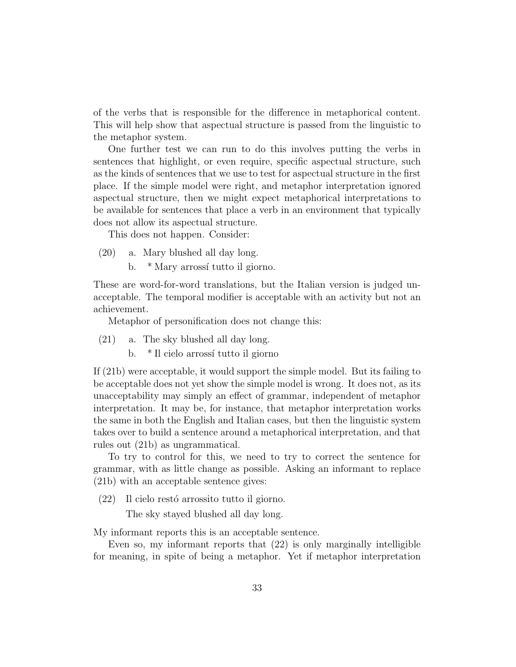of the verbs that is responsible for the difference in metaphorical content. This will help show that aspectual structure is passed from the linguistic to the metaphor system.

One further test we can run to do this involves putting the verbs in sentences that highlight, or even require, specific aspectual structure, such as the kinds of sentences that we use to test for aspectual structure in the first place. If the simple model were right, and metaphor interpretation ignored aspectual structure, then we might expect metaphorical interpretations to be available for sentences that place a verb in an environment that typically does not allow its aspectual structure.

This does not happen. Consider:

- (20) a. Mary blushed all day long.
	- b. \* Mary arrossí tutto il giorno.

These are word-for-word translations, but the Italian version is judged unacceptable. The temporal modifier is acceptable with an activity but not an achievement.

Metaphor of personification does not change this:

- (21) a. The sky blushed all day long.
	- b. \* Il cielo arrossí tutto il giorno

If (21b) were acceptable, it would support the simple model. But its failing to be acceptable does not yet show the simple model is wrong. It does not, as its unacceptability may simply an effect of grammar, independent of metaphor interpretation. It may be, for instance, that metaphor interpretation works the same in both the English and Italian cases, but then the linguistic system takes over to build a sentence around a metaphorical interpretation, and that rules out (21b) as ungrammatical.

To try to control for this, we need to try to correct the sentence for grammar, with as little change as possible. Asking an informant to replace (21b) with an acceptable sentence gives:

 $(22)$  Il cielo restó arrossito tutto il giorno.

The sky stayed blushed all day long.

My informant reports this is an acceptable sentence.

Even so, my informant reports that (22) is only marginally intelligible for meaning, in spite of being a metaphor. Yet if metaphor interpretation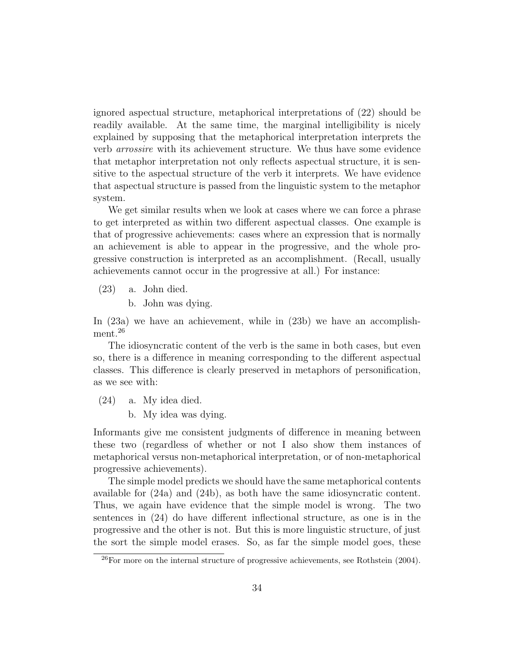ignored aspectual structure, metaphorical interpretations of (22) should be readily available. At the same time, the marginal intelligibility is nicely explained by supposing that the metaphorical interpretation interprets the verb arrossire with its achievement structure. We thus have some evidence that metaphor interpretation not only reflects aspectual structure, it is sensitive to the aspectual structure of the verb it interprets. We have evidence that aspectual structure is passed from the linguistic system to the metaphor system.

We get similar results when we look at cases where we can force a phrase to get interpreted as within two different aspectual classes. One example is that of progressive achievements: cases where an expression that is normally an achievement is able to appear in the progressive, and the whole progressive construction is interpreted as an accomplishment. (Recall, usually achievements cannot occur in the progressive at all.) For instance:

(23) a. John died.

b. John was dying.

In (23a) we have an achievement, while in (23b) we have an accomplishment.<sup>26</sup>

The idiosyncratic content of the verb is the same in both cases, but even so, there is a difference in meaning corresponding to the different aspectual classes. This difference is clearly preserved in metaphors of personification, as we see with:

(24) a. My idea died.

b. My idea was dying.

Informants give me consistent judgments of difference in meaning between these two (regardless of whether or not I also show them instances of metaphorical versus non-metaphorical interpretation, or of non-metaphorical progressive achievements).

The simple model predicts we should have the same metaphorical contents available for (24a) and (24b), as both have the same idiosyncratic content. Thus, we again have evidence that the simple model is wrong. The two sentences in (24) do have different inflectional structure, as one is in the progressive and the other is not. But this is more linguistic structure, of just the sort the simple model erases. So, as far the simple model goes, these

 $^{26}$ For more on the internal structure of progressive achievements, see Rothstein (2004).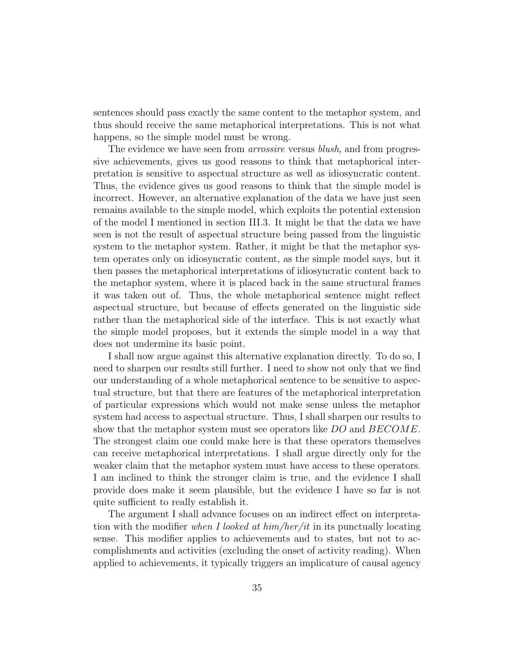sentences should pass exactly the same content to the metaphor system, and thus should receive the same metaphorical interpretations. This is not what happens, so the simple model must be wrong.

The evidence we have seen from *arrossire* versus *blush*, and from progressive achievements, gives us good reasons to think that metaphorical interpretation is sensitive to aspectual structure as well as idiosyncratic content. Thus, the evidence gives us good reasons to think that the simple model is incorrect. However, an alternative explanation of the data we have just seen remains available to the simple model, which exploits the potential extension of the model I mentioned in section III.3. It might be that the data we have seen is not the result of aspectual structure being passed from the linguistic system to the metaphor system. Rather, it might be that the metaphor system operates only on idiosyncratic content, as the simple model says, but it then passes the metaphorical interpretations of idiosyncratic content back to the metaphor system, where it is placed back in the same structural frames it was taken out of. Thus, the whole metaphorical sentence might reflect aspectual structure, but because of effects generated on the linguistic side rather than the metaphorical side of the interface. This is not exactly what the simple model proposes, but it extends the simple model in a way that does not undermine its basic point.

I shall now argue against this alternative explanation directly. To do so, I need to sharpen our results still further. I need to show not only that we find our understanding of a whole metaphorical sentence to be sensitive to aspectual structure, but that there are features of the metaphorical interpretation of particular expressions which would not make sense unless the metaphor system had access to aspectual structure. Thus, I shall sharpen our results to show that the metaphor system must see operators like DO and BECOME. The strongest claim one could make here is that these operators themselves can receive metaphorical interpretations. I shall argue directly only for the weaker claim that the metaphor system must have access to these operators. I am inclined to think the stronger claim is true, and the evidence I shall provide does make it seem plausible, but the evidence I have so far is not quite sufficient to really establish it.

The argument I shall advance focuses on an indirect effect on interpretation with the modifier when I looked at  $him/her/it$  in its punctually locating sense. This modifier applies to achievements and to states, but not to accomplishments and activities (excluding the onset of activity reading). When applied to achievements, it typically triggers an implicature of causal agency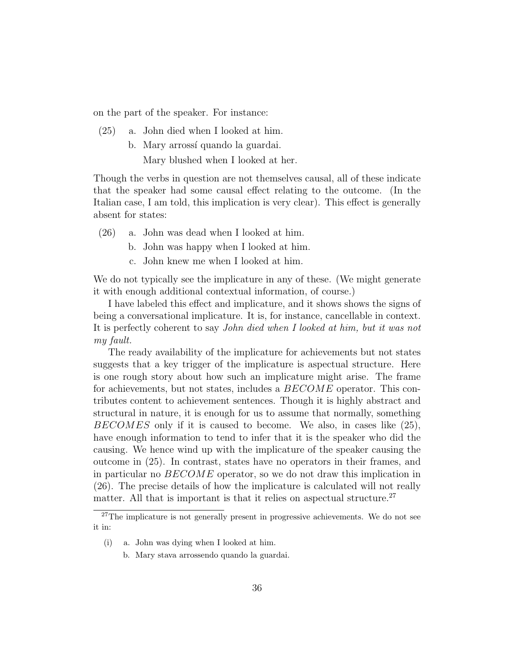on the part of the speaker. For instance:

- (25) a. John died when I looked at him.
	- b. Mary arrossí quando la guardai.

Mary blushed when I looked at her.

Though the verbs in question are not themselves causal, all of these indicate that the speaker had some causal effect relating to the outcome. (In the Italian case, I am told, this implication is very clear). This effect is generally absent for states:

- (26) a. John was dead when I looked at him.
	- b. John was happy when I looked at him.
	- c. John knew me when I looked at him.

We do not typically see the implicature in any of these. (We might generate it with enough additional contextual information, of course.)

I have labeled this effect and implicature, and it shows shows the signs of being a conversational implicature. It is, for instance, cancellable in context. It is perfectly coherent to say John died when I looked at him, but it was not my fault.

The ready availability of the implicature for achievements but not states suggests that a key trigger of the implicature is aspectual structure. Here is one rough story about how such an implicature might arise. The frame for achievements, but not states, includes a BECOME operator. This contributes content to achievement sentences. Though it is highly abstract and structural in nature, it is enough for us to assume that normally, something BECOMES only if it is caused to become. We also, in cases like (25), have enough information to tend to infer that it is the speaker who did the causing. We hence wind up with the implicature of the speaker causing the outcome in (25). In contrast, states have no operators in their frames, and in particular no  $BECOME$  operator, so we do not draw this implication in (26). The precise details of how the implicature is calculated will not really matter. All that is important is that it relies on aspectual structure.<sup>27</sup>

- (i) a. John was dying when I looked at him.
	- b. Mary stava arrossendo quando la guardai.

 $27$ The implicature is not generally present in progressive achievements. We do not see it in: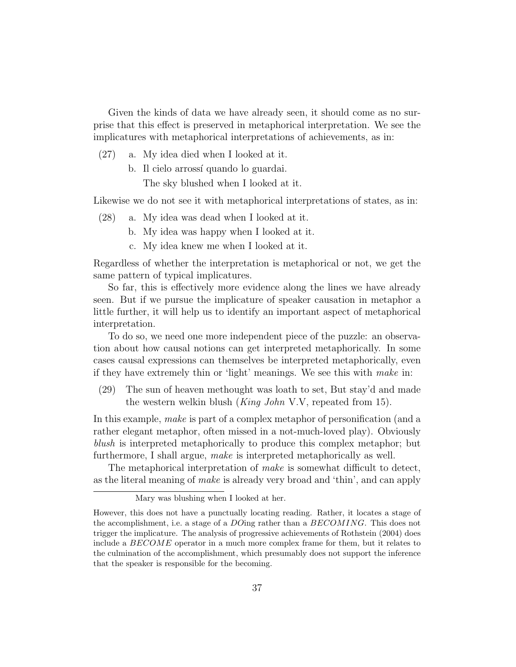Given the kinds of data we have already seen, it should come as no surprise that this effect is preserved in metaphorical interpretation. We see the implicatures with metaphorical interpretations of achievements, as in:

- (27) a. My idea died when I looked at it.
	- b. Il cielo arrossí quando lo guardai.

The sky blushed when I looked at it.

Likewise we do not see it with metaphorical interpretations of states, as in:

- (28) a. My idea was dead when I looked at it.
	- b. My idea was happy when I looked at it.
	- c. My idea knew me when I looked at it.

Regardless of whether the interpretation is metaphorical or not, we get the same pattern of typical implicatures.

So far, this is effectively more evidence along the lines we have already seen. But if we pursue the implicature of speaker causation in metaphor a little further, it will help us to identify an important aspect of metaphorical interpretation.

To do so, we need one more independent piece of the puzzle: an observation about how causal notions can get interpreted metaphorically. In some cases causal expressions can themselves be interpreted metaphorically, even if they have extremely thin or 'light' meanings. We see this with make in:

(29) The sun of heaven methought was loath to set, But stay'd and made the western welkin blush (King John V.V, repeated from 15).

In this example, make is part of a complex metaphor of personification (and a rather elegant metaphor, often missed in a not-much-loved play). Obviously blush is interpreted metaphorically to produce this complex metaphor; but furthermore, I shall argue, make is interpreted metaphorically as well.

The metaphorical interpretation of make is somewhat difficult to detect, as the literal meaning of make is already very broad and 'thin', and can apply

Mary was blushing when I looked at her.

However, this does not have a punctually locating reading. Rather, it locates a stage of the accomplishment, i.e. a stage of a DOing rather than a BECOMING. This does not trigger the implicature. The analysis of progressive achievements of Rothstein (2004) does include a BECOME operator in a much more complex frame for them, but it relates to the culmination of the accomplishment, which presumably does not support the inference that the speaker is responsible for the becoming.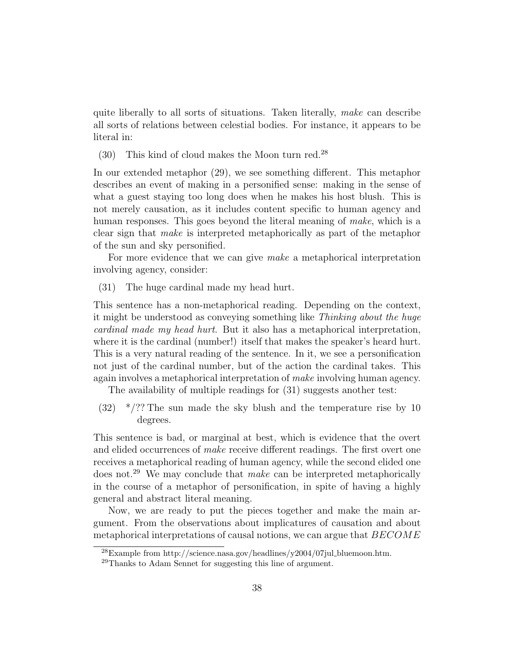quite liberally to all sorts of situations. Taken literally, make can describe all sorts of relations between celestial bodies. For instance, it appears to be literal in:

(30) This kind of cloud makes the Moon turn red.<sup>28</sup>

In our extended metaphor (29), we see something different. This metaphor describes an event of making in a personified sense: making in the sense of what a guest staying too long does when he makes his host blush. This is not merely causation, as it includes content specific to human agency and human responses. This goes beyond the literal meaning of make, which is a clear sign that make is interpreted metaphorically as part of the metaphor of the sun and sky personified.

For more evidence that we can give *make* a metaphorical interpretation involving agency, consider:

(31) The huge cardinal made my head hurt.

This sentence has a non-metaphorical reading. Depending on the context, it might be understood as conveying something like Thinking about the huge cardinal made my head hurt. But it also has a metaphorical interpretation, where it is the cardinal (number!) itself that makes the speaker's heard hurt. This is a very natural reading of the sentence. In it, we see a personification not just of the cardinal number, but of the action the cardinal takes. This again involves a metaphorical interpretation of make involving human agency.

The availability of multiple readings for (31) suggests another test:

 $(32)$  \*/?? The sun made the sky blush and the temperature rise by 10 degrees.

This sentence is bad, or marginal at best, which is evidence that the overt and elided occurrences of make receive different readings. The first overt one receives a metaphorical reading of human agency, while the second elided one does not.<sup>29</sup> We may conclude that *make* can be interpreted metaphorically in the course of a metaphor of personification, in spite of having a highly general and abstract literal meaning.

Now, we are ready to put the pieces together and make the main argument. From the observations about implicatures of causation and about metaphorical interpretations of causal notions, we can argue that  $BECOME$ 

 $^{28}$ Example from http://science.nasa.gov/headlines/y2004/07jul\_bluemoon.htm.

 $^{29}$ Thanks to Adam Sennet for suggesting this line of argument.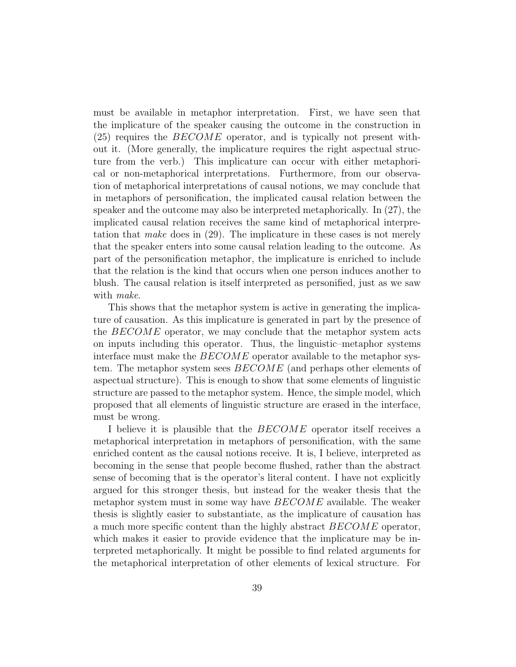must be available in metaphor interpretation. First, we have seen that the implicature of the speaker causing the outcome in the construction in (25) requires the BECOME operator, and is typically not present without it. (More generally, the implicature requires the right aspectual structure from the verb.) This implicature can occur with either metaphorical or non-metaphorical interpretations. Furthermore, from our observation of metaphorical interpretations of causal notions, we may conclude that in metaphors of personification, the implicated causal relation between the speaker and the outcome may also be interpreted metaphorically. In (27), the implicated causal relation receives the same kind of metaphorical interpretation that make does in (29). The implicature in these cases is not merely that the speaker enters into some causal relation leading to the outcome. As part of the personification metaphor, the implicature is enriched to include that the relation is the kind that occurs when one person induces another to blush. The causal relation is itself interpreted as personified, just as we saw with *make*.

This shows that the metaphor system is active in generating the implicature of causation. As this implicature is generated in part by the presence of the BECOME operator, we may conclude that the metaphor system acts on inputs including this operator. Thus, the linguistic–metaphor systems interface must make the  $BECOME$  operator available to the metaphor system. The metaphor system sees BECOME (and perhaps other elements of aspectual structure). This is enough to show that some elements of linguistic structure are passed to the metaphor system. Hence, the simple model, which proposed that all elements of linguistic structure are erased in the interface, must be wrong.

I believe it is plausible that the *BECOME* operator itself receives a metaphorical interpretation in metaphors of personification, with the same enriched content as the causal notions receive. It is, I believe, interpreted as becoming in the sense that people become flushed, rather than the abstract sense of becoming that is the operator's literal content. I have not explicitly argued for this stronger thesis, but instead for the weaker thesis that the metaphor system must in some way have BECOME available. The weaker thesis is slightly easier to substantiate, as the implicature of causation has a much more specific content than the highly abstract  $BECOME$  operator, which makes it easier to provide evidence that the implicature may be interpreted metaphorically. It might be possible to find related arguments for the metaphorical interpretation of other elements of lexical structure. For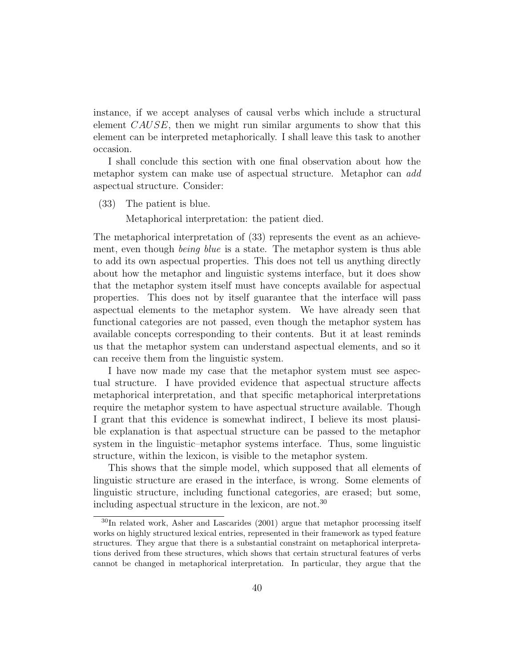instance, if we accept analyses of causal verbs which include a structural element CAUSE, then we might run similar arguments to show that this element can be interpreted metaphorically. I shall leave this task to another occasion.

I shall conclude this section with one final observation about how the metaphor system can make use of aspectual structure. Metaphor can add aspectual structure. Consider:

(33) The patient is blue.

Metaphorical interpretation: the patient died.

The metaphorical interpretation of (33) represents the event as an achievement, even though *being blue* is a state. The metaphor system is thus able to add its own aspectual properties. This does not tell us anything directly about how the metaphor and linguistic systems interface, but it does show that the metaphor system itself must have concepts available for aspectual properties. This does not by itself guarantee that the interface will pass aspectual elements to the metaphor system. We have already seen that functional categories are not passed, even though the metaphor system has available concepts corresponding to their contents. But it at least reminds us that the metaphor system can understand aspectual elements, and so it can receive them from the linguistic system.

I have now made my case that the metaphor system must see aspectual structure. I have provided evidence that aspectual structure affects metaphorical interpretation, and that specific metaphorical interpretations require the metaphor system to have aspectual structure available. Though I grant that this evidence is somewhat indirect, I believe its most plausible explanation is that aspectual structure can be passed to the metaphor system in the linguistic–metaphor systems interface. Thus, some linguistic structure, within the lexicon, is visible to the metaphor system.

This shows that the simple model, which supposed that all elements of linguistic structure are erased in the interface, is wrong. Some elements of linguistic structure, including functional categories, are erased; but some, including aspectual structure in the lexicon, are not.<sup>30</sup>

<sup>30</sup>In related work, Asher and Lascarides (2001) argue that metaphor processing itself works on highly structured lexical entries, represented in their framework as typed feature structures. They argue that there is a substantial constraint on metaphorical interpretations derived from these structures, which shows that certain structural features of verbs cannot be changed in metaphorical interpretation. In particular, they argue that the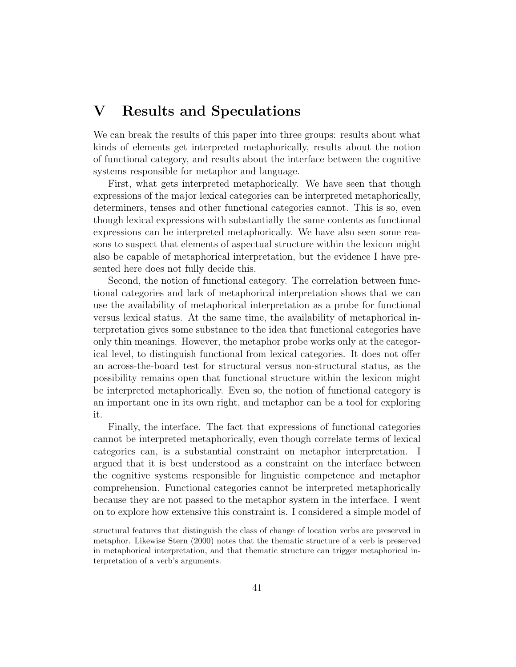## V Results and Speculations

We can break the results of this paper into three groups: results about what kinds of elements get interpreted metaphorically, results about the notion of functional category, and results about the interface between the cognitive systems responsible for metaphor and language.

First, what gets interpreted metaphorically. We have seen that though expressions of the major lexical categories can be interpreted metaphorically, determiners, tenses and other functional categories cannot. This is so, even though lexical expressions with substantially the same contents as functional expressions can be interpreted metaphorically. We have also seen some reasons to suspect that elements of aspectual structure within the lexicon might also be capable of metaphorical interpretation, but the evidence I have presented here does not fully decide this.

Second, the notion of functional category. The correlation between functional categories and lack of metaphorical interpretation shows that we can use the availability of metaphorical interpretation as a probe for functional versus lexical status. At the same time, the availability of metaphorical interpretation gives some substance to the idea that functional categories have only thin meanings. However, the metaphor probe works only at the categorical level, to distinguish functional from lexical categories. It does not offer an across-the-board test for structural versus non-structural status, as the possibility remains open that functional structure within the lexicon might be interpreted metaphorically. Even so, the notion of functional category is an important one in its own right, and metaphor can be a tool for exploring it.

Finally, the interface. The fact that expressions of functional categories cannot be interpreted metaphorically, even though correlate terms of lexical categories can, is a substantial constraint on metaphor interpretation. I argued that it is best understood as a constraint on the interface between the cognitive systems responsible for linguistic competence and metaphor comprehension. Functional categories cannot be interpreted metaphorically because they are not passed to the metaphor system in the interface. I went on to explore how extensive this constraint is. I considered a simple model of

structural features that distinguish the class of change of location verbs are preserved in metaphor. Likewise Stern (2000) notes that the thematic structure of a verb is preserved in metaphorical interpretation, and that thematic structure can trigger metaphorical interpretation of a verb's arguments.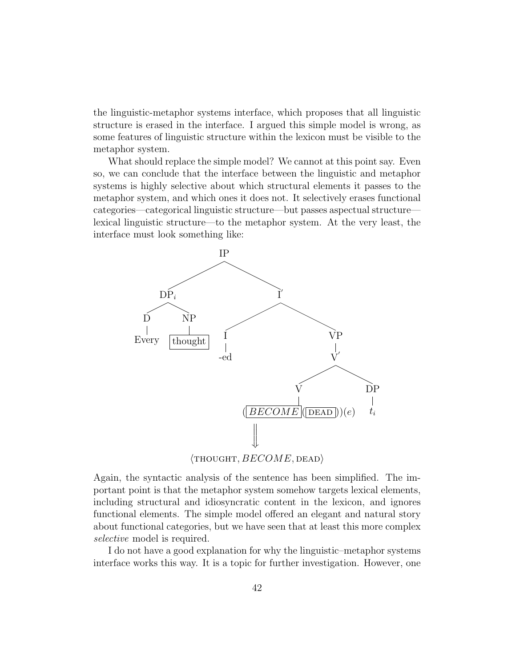the linguistic-metaphor systems interface, which proposes that all linguistic structure is erased in the interface. I argued this simple model is wrong, as some features of linguistic structure within the lexicon must be visible to the metaphor system.

What should replace the simple model? We cannot at this point say. Even so, we can conclude that the interface between the linguistic and metaphor systems is highly selective about which structural elements it passes to the metaphor system, and which ones it does not. It selectively erases functional categories—categorical linguistic structure—but passes aspectual structure lexical linguistic structure—to the metaphor system. At the very least, the interface must look something like:



 $\langle$ THOUGHT,  $BECOME$ , DEAD $\rangle$ 

Again, the syntactic analysis of the sentence has been simplified. The important point is that the metaphor system somehow targets lexical elements, including structural and idiosyncratic content in the lexicon, and ignores functional elements. The simple model offered an elegant and natural story about functional categories, but we have seen that at least this more complex selective model is required.

I do not have a good explanation for why the linguistic–metaphor systems interface works this way. It is a topic for further investigation. However, one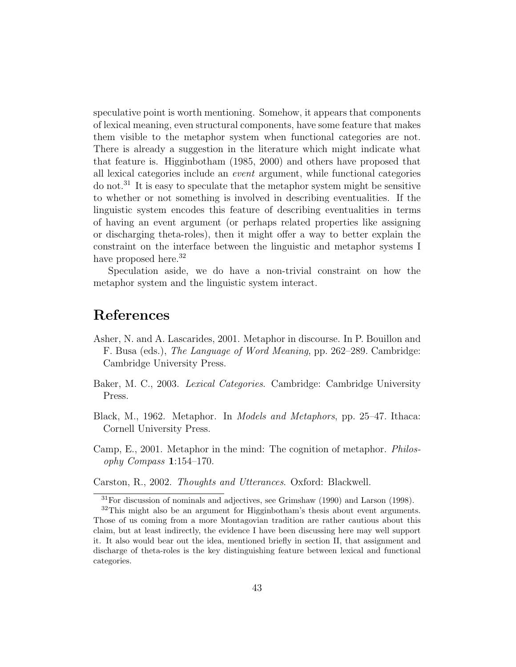speculative point is worth mentioning. Somehow, it appears that components of lexical meaning, even structural components, have some feature that makes them visible to the metaphor system when functional categories are not. There is already a suggestion in the literature which might indicate what that feature is. Higginbotham (1985, 2000) and others have proposed that all lexical categories include an event argument, while functional categories do not.<sup>31</sup> It is easy to speculate that the metaphor system might be sensitive to whether or not something is involved in describing eventualities. If the linguistic system encodes this feature of describing eventualities in terms of having an event argument (or perhaps related properties like assigning or discharging theta-roles), then it might offer a way to better explain the constraint on the interface between the linguistic and metaphor systems I have proposed here.<sup>32</sup>

Speculation aside, we do have a non-trivial constraint on how the metaphor system and the linguistic system interact.

### References

- Asher, N. and A. Lascarides, 2001. Metaphor in discourse. In P. Bouillon and F. Busa (eds.), The Language of Word Meaning, pp. 262–289. Cambridge: Cambridge University Press.
- Baker, M. C., 2003. Lexical Categories. Cambridge: Cambridge University Press.
- Black, M., 1962. Metaphor. In Models and Metaphors, pp. 25–47. Ithaca: Cornell University Press.
- Camp, E., 2001. Metaphor in the mind: The cognition of metaphor. Philosophy Compass 1:154–170.
- Carston, R., 2002. Thoughts and Utterances. Oxford: Blackwell.

<sup>31</sup>For discussion of nominals and adjectives, see Grimshaw (1990) and Larson (1998).

<sup>&</sup>lt;sup>32</sup>This might also be an argument for Higginbotham's thesis about event arguments. Those of us coming from a more Montagovian tradition are rather cautious about this claim, but at least indirectly, the evidence I have been discussing here may well support it. It also would bear out the idea, mentioned briefly in section II, that assignment and discharge of theta-roles is the key distinguishing feature between lexical and functional categories.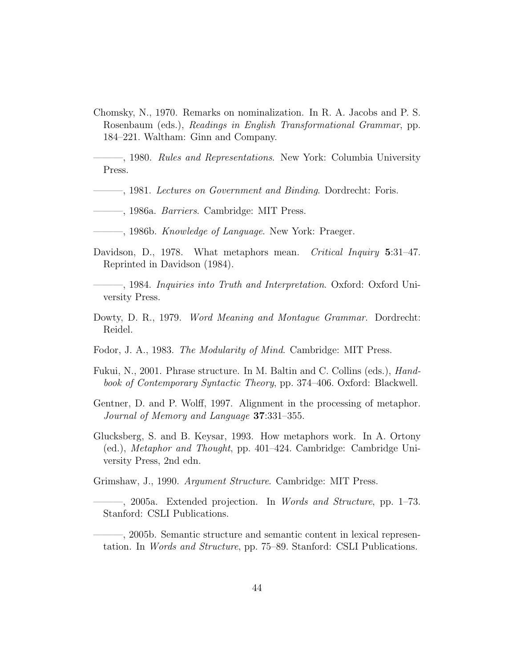Chomsky, N., 1970. Remarks on nominalization. In R. A. Jacobs and P. S. Rosenbaum (eds.), Readings in English Transformational Grammar, pp. 184–221. Waltham: Ginn and Company.

<sup>-</sup>, 1980. *Rules and Representations*. New York: Columbia University Press.

- ———, 1981. Lectures on Government and Binding. Dordrecht: Foris.
- ———, 1986a. Barriers. Cambridge: MIT Press.
- $-$ , 1986b. *Knowledge of Language*. New York: Praeger.
- Davidson, D., 1978. What metaphors mean. Critical Inquiry 5:31-47. Reprinted in Davidson (1984).

———, 1984. Inquiries into Truth and Interpretation. Oxford: Oxford University Press.

- Dowty, D. R., 1979. Word Meaning and Montague Grammar. Dordrecht: Reidel.
- Fodor, J. A., 1983. The Modularity of Mind. Cambridge: MIT Press.
- Fukui, N., 2001. Phrase structure. In M. Baltin and C. Collins (eds.), Handbook of Contemporary Syntactic Theory, pp. 374–406. Oxford: Blackwell.
- Gentner, D. and P. Wolff, 1997. Alignment in the processing of metaphor. Journal of Memory and Language 37:331–355.
- Glucksberg, S. and B. Keysar, 1993. How metaphors work. In A. Ortony (ed.), Metaphor and Thought, pp. 401–424. Cambridge: Cambridge University Press, 2nd edn.

Grimshaw, J., 1990. Argument Structure. Cambridge: MIT Press.

 $-$ , 2005a. Extended projection. In *Words and Structure*, pp. 1–73. Stanford: CSLI Publications.

———, 2005b. Semantic structure and semantic content in lexical representation. In Words and Structure, pp. 75–89. Stanford: CSLI Publications.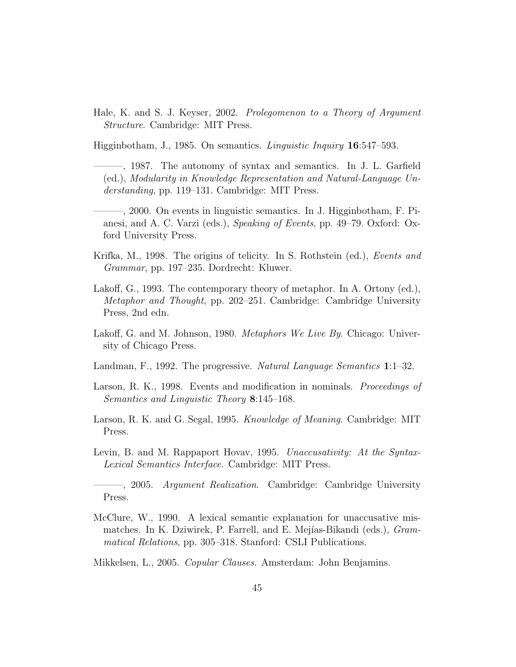Hale, K. and S. J. Keyser, 2002. Prolegomenon to a Theory of Argument Structure. Cambridge: MIT Press.

Higginbotham, J., 1985. On semantics. Linguistic Inquiry 16:547–593.

———, 1987. The autonomy of syntax and semantics. In J. L. Garfield (ed.), Modularity in Knowledge Representation and Natural-Language Understanding, pp. 119–131. Cambridge: MIT Press.

- ———, 2000. On events in linguistic semantics. In J. Higginbotham, F. Pianesi, and A. C. Varzi (eds.), Speaking of Events, pp. 49–79. Oxford: Oxford University Press.
- Krifka, M., 1998. The origins of telicity. In S. Rothstein (ed.), Events and Grammar, pp. 197–235. Dordrecht: Kluwer.
- Lakoff, G., 1993. The contemporary theory of metaphor. In A. Ortony (ed.), Metaphor and Thought, pp. 202–251. Cambridge: Cambridge University Press, 2nd edn.
- Lakoff, G. and M. Johnson, 1980. *Metaphors We Live By.* Chicago: University of Chicago Press.
- Landman, F., 1992. The progressive. Natural Language Semantics 1:1–32.
- Larson, R. K., 1998. Events and modification in nominals. *Proceedings of* Semantics and Linguistic Theory 8:145–168.
- Larson, R. K. and G. Segal, 1995. Knowledge of Meaning. Cambridge: MIT Press.
- Levin, B. and M. Rappaport Hovav, 1995. Unaccusativity: At the Syntax-Lexical Semantics Interface. Cambridge: MIT Press.

———, 2005. Argument Realization. Cambridge: Cambridge University Press.

McClure, W., 1990. A lexical semantic explanation for unaccusative mismatches. In K. Dziwirek, P. Farrell, and E. Mejías-Bikandi (eds.), *Gram*matical Relations, pp. 305–318. Stanford: CSLI Publications.

Mikkelsen, L., 2005. Copular Clauses. Amsterdam: John Benjamins.